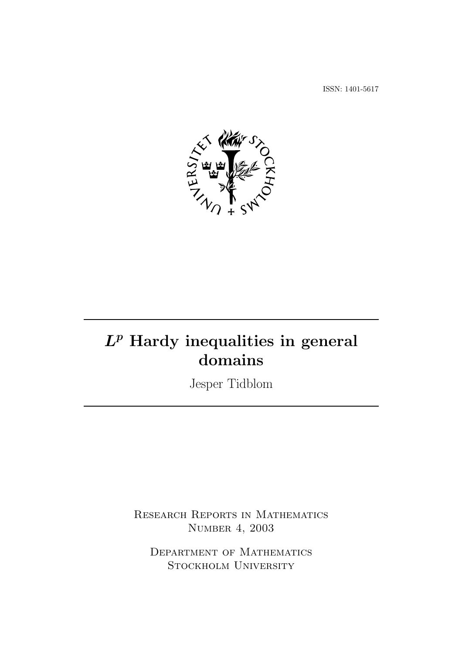ISSN: 1401-5617



## $L^p$  Hardy inequalities in general domains

Jesper Tidblom

RESEARCH REPORTS IN MATHEMATICS Number 4, 2003

Department of Mathematics Stockholm University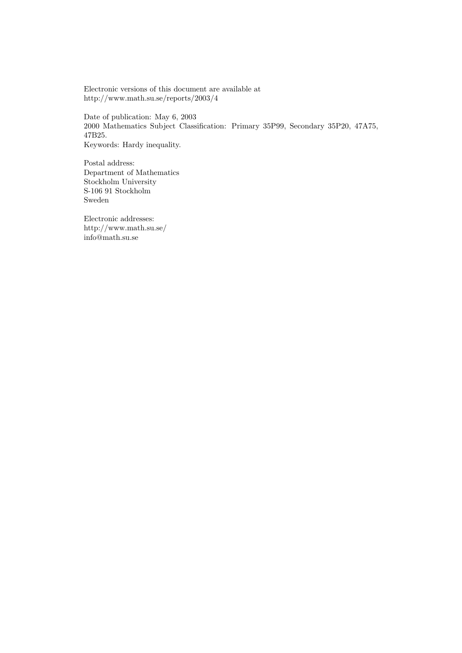Electronic versions of this document are available at http://www.math.su.se/reports/2003/4

Date of publication: May 6, 2003 2000 Mathematics Subject Classification: Primary 35P99, Secondary 35P20, 47A75, 47B25. Keywords: Hardy inequality.

Postal address: Department of Mathematics Stockholm University S-106 91 Stockholm Sweden

Electronic addresses: http://www.math.su.se/ info@math.su.se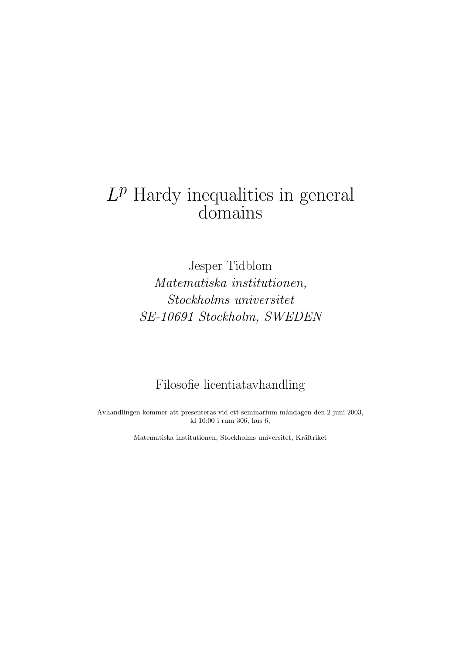# $L^p$  Hardy inequalities in general domains

Jesper Tidblom Matematiska institutionen, Stockholms universitet SE-10691 Stockholm, SWEDEN

### Filosofie licentiatavhandling

Avhandlingen kommer att presenteras vid ett seminarium måndagen den 2 juni 2003, kl 10:00 i rum 306, hus 6,

Matematiska institutionen, Stockholms universitet, Kräftriket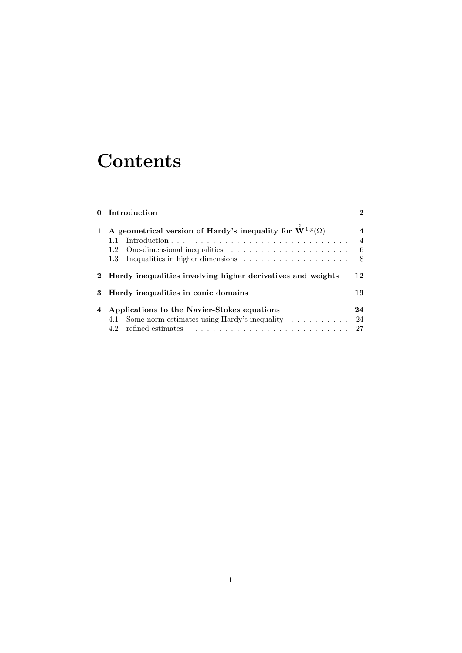## **Contents**

|   | 0 Introduction                                                                                         | $\bf{2}$                                               |
|---|--------------------------------------------------------------------------------------------------------|--------------------------------------------------------|
|   | A geometrical version of Hardy's inequality for $\mathbf{W}^{1,p}(\Omega)$<br>1.1<br>1.2<br>1.3        | $\overline{\mathbf{4}}$<br>$\overline{4}$<br>- 6<br>-8 |
|   | 2 Hardy inequalities involving higher derivatives and weights                                          | 12                                                     |
| 3 | Hardy inequalities in conic domains                                                                    | 19                                                     |
|   | Applications to the Navier-Stokes equations<br>4.1 Some norm estimates using Hardy's inequality<br>4.2 | 24<br>24<br>27                                         |
|   |                                                                                                        |                                                        |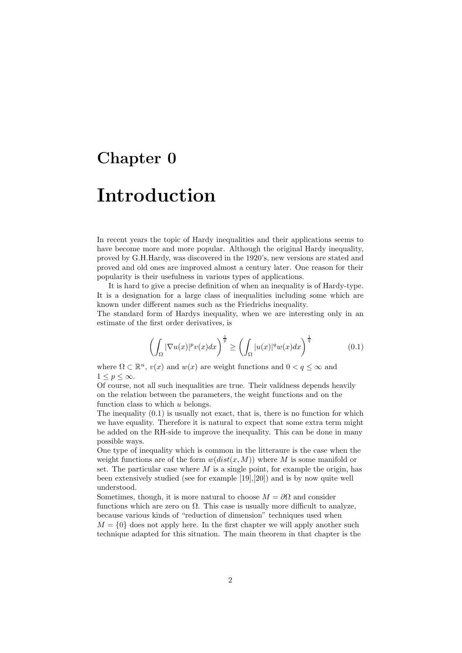# Chapter 0

## Introduction

In recent years the topic of Hardy inequalities and their applications seems to have become more and more popular. Although the original Hardy inequality, proved by G.H.Hardy, was discovered in the 1920's, new versions are stated and proved and old ones are improved almost a century later. One reason for their popularity is their usefulness in various types of applications.

It is hard to give a precise definition of when an inequality is of Hardy-type. It is a designation for a large class of inequalities including some which are known under different names such as the Friedrichs inequality.

The standard form of Hardys inequality, when we are interesting only in an estimate of the first order derivatives, is

$$
\left(\int_{\Omega} |\nabla u(x)|^p v(x) dx\right)^{\frac{1}{p}} \ge \left(\int_{\Omega} |u(x)|^q w(x) dx\right)^{\frac{1}{q}} \tag{0.1}
$$

where  $\Omega \subset \mathbb{R}^n$ ,  $v(x)$  and  $w(x)$  are weight functions and  $0 < q \leq \infty$  and  $1 \leq p \leq \infty$ .

Of course, not all such inequalities are true. Their validness depends heavily on the relation between the parameters, the weight functions and on the function class to which  $u$  belongs.

The inequality  $(0.1)$  is usually not exact, that is, there is no function for which we have equality. Therefore it is natural to expect that some extra term might be added on the RH-side to improve the inequality. This can be done in many possible ways.

One type of inequality which is common in the litteraure is the case when the weight functions are of the form  $w(dist(x, M))$  where M is some manifold or set. The particular case where  $M$  is a single point, for example the origin, has been extensively studied (see for example [19],[20]) and is by now quite well understood.

Sometimes, though, it is more natural to choose  $M = \partial\Omega$  and consider functions which are zero on  $\Omega$ . This case is usually more difficult to analyze, because various kinds of "reduction of dimension" techniques used when  $M = \{0\}$  does not apply here. In the first chapter we will apply another such

technique adapted for this situation. The main theorem in that chapter is the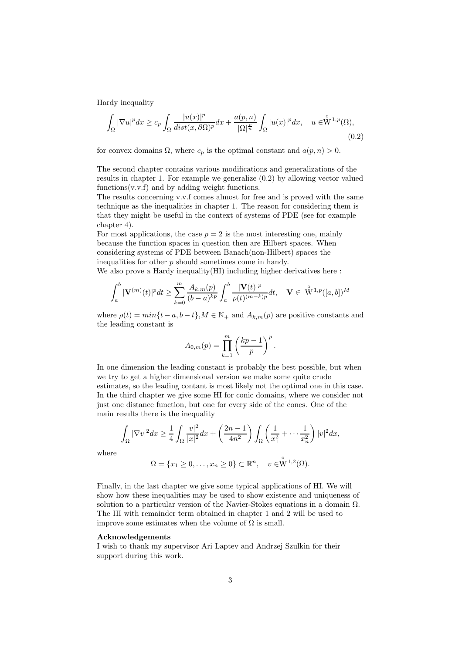Hardy inequality

$$
\int_{\Omega} |\nabla u|^p dx \ge c_p \int_{\Omega} \frac{|u(x)|^p}{\operatorname{dist}(x, \partial \Omega)^p} dx + \frac{a(p, n)}{|\Omega|^{\frac{p}{n}}} \int_{\Omega} |u(x)|^p dx, \quad u \in W^{1, p}(\Omega),\tag{0.2}
$$

for convex domains  $\Omega$ , where  $c_p$  is the optimal constant and  $a(p, n) > 0$ .

The second chapter contains various modifications and generalizations of the results in chapter 1. For example we generalize (0.2) by allowing vector valued functions $(v.v.f)$  and by adding weight functions.

The results concerning v.v.f comes almost for free and is proved with the same technique as the inequalities in chapter 1. The reason for considering them is that they might be useful in the context of systems of PDE (see for example chapter 4).

For most applications, the case  $p = 2$  is the most interesting one, mainly because the function spaces in question then are Hilbert spaces. When considering systems of PDE between Banach(non-Hilbert) spaces the inequalities for other  $p$  should sometimes come in handy. We also prove a Hardy inequality(HI) including higher derivatives here :

$$
\int_a^b |{\bf V}^{(m)}(t)|^p dt \geq \sum_{k=0}^m \frac{A_{k,m}(p)}{(b-a)^{kp}} \int_a^b \frac{|{\bf V}(t)|^p}{\rho(t)^{(m-k)p}} dt, \quad {\bf V} \in \stackrel{\circ}{\rm W}^{1,p}([a,b])^M
$$

where  $\rho(t) = min\{t - a, b - t\}$ ,  $M \in \mathbb{N}_+$  and  $A_{k,m}(p)$  are positive constants and the leading constant is

$$
A_{0,m}(p) = \prod_{k=1}^m \left(\frac{kp-1}{p}\right)^p.
$$

In one dimension the leading constant is probably the best possible, but when we try to get a higher dimensional version we make some quite crude estimates, so the leading contant is most likely not the optimal one in this case. In the third chapter we give some HI for conic domains, where we consider not just one distance function, but one for every side of the cones. One of the main results there is the inequality

$$
\int_{\Omega} |\nabla v|^2 dx \ge \frac{1}{4} \int_{\Omega} \frac{|v|^2}{|x|^2} dx + \left(\frac{2n-1}{4n^2}\right) \int_{\Omega} \left(\frac{1}{x_1^2} + \dots + \frac{1}{x_n^2}\right) |v|^2 dx,
$$

where

$$
\Omega = \{x_1 \ge 0, \dots, x_n \ge 0\} \subset \mathbb{R}^n, \quad v \in \overset{\circ}{\mathrm{W}}^{1,2}(\Omega).
$$

Finally, in the last chapter we give some typical applications of HI. We will show how these inequalities may be used to show existence and uniqueness of solution to a particular version of the Navier-Stokes equations in a domain  $\Omega$ . The HI with remainder term obtained in chapter 1 and 2 will be used to improve some estimates when the volume of  $\Omega$  is small.

#### Acknowledgements

I wish to thank my supervisor Ari Laptev and Andrzej Szulkin for their support during this work.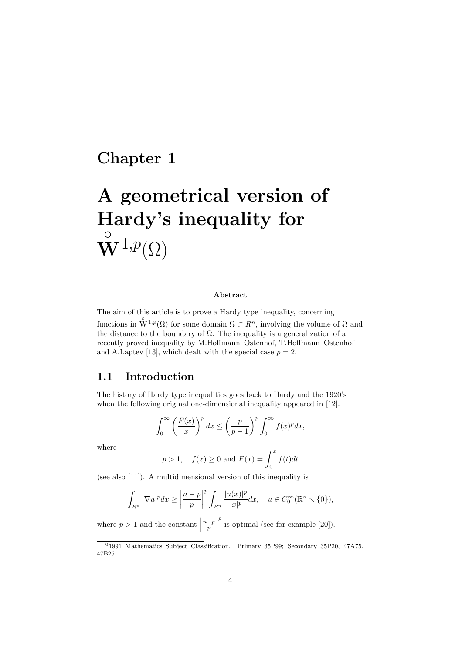## Chapter 1

# A geometrical version of Hardy's inequality for  $\overset{\circ}{\bf W}\!{\mathbb{1}},\!p_{\left(\Omega\right)}$

#### Abstract

The aim of this article is to prove a Hardy type inequality, concerning functions in  $\mathring{W}^{1,p}(\Omega)$  for some domain  $\Omega \subset \mathbb{R}^n$ , involving the volume of  $\Omega$  and the distance to the boundary of  $\Omega$ . The inequality is a generalization of a recently proved inequality by M.Hoffmann–Ostenhof, T.Hoffmann–Ostenhof and A.Laptev [13], which dealt with the special case  $p = 2$ .

#### 1.1 Introduction

The history of Hardy type inequalities goes back to Hardy and the 1920's when the following original one-dimensional inequality appeared in [12].

$$
\int_0^\infty \left(\frac{F(x)}{x}\right)^p dx \le \left(\frac{p}{p-1}\right)^p \int_0^\infty f(x)^p dx,
$$

where

$$
p > 1
$$
,  $f(x) \ge 0$  and  $F(x) = \int_0^x f(t)dt$ 

(see also [11]). A multidimensional version of this inequality is

$$
\int_{R^n} |\nabla u|^p dx \ge \left|\frac{n-p}{p}\right|^p \int_{R^n} \frac{|u(x)|^p}{|x|^p} dx, \quad u \in C_0^\infty(\mathbb{R}^n \setminus \{0\}),
$$

where  $p > 1$  and the constant  $\Big|$  $\left|\frac{n-p}{p}\right|$  $p$  is optimal (see for example [20]).

<sup>&</sup>lt;sup>0</sup>1991 Mathematics Subject Classification. Primary 35P99; Secondary 35P20, 47A75, 47B25.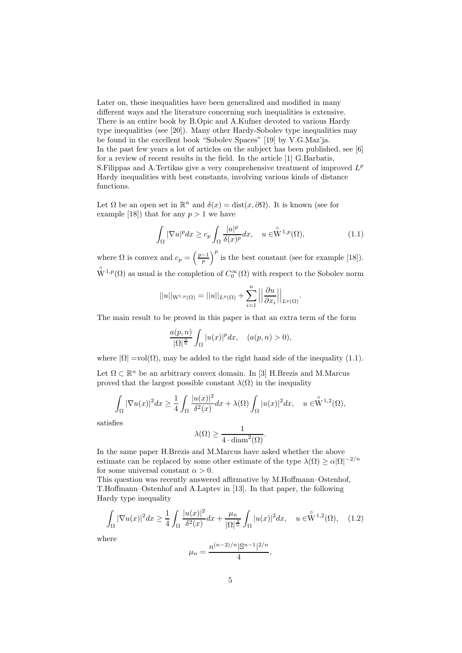Later on, these inequalities have been generalized and modified in many different ways and the literature concerning such inequalities is extensive. There is an entire book by B.Opic and A.Kufner devoted to various Hardy type inequalities (see [20]). Many other Hardy-Sobolev type inequalities may be found in the excellent book "Sobolev Spaces" [19] by V.G.Maz'ja. In the past few years a lot of articles on the subject has been published, see [6] for a review of recent results in the field. In the article [1] G.Barbatis, S. Filippas and A. Tertikas give a very comprehensive treatment of improved  $L^p$ Hardy inequalities with best constants, involving various kinds of distance functions.

Let  $\Omega$  be an open set in  $\mathbb{R}^n$  and  $\delta(x) = \text{dist}(x, \partial \Omega)$ . It is known (see for example [18]) that for any  $p > 1$  we have

$$
\int_{\Omega} |\nabla u|^p dx \ge c_p \int_{\Omega} \frac{|u|^p}{\delta(x)^p} dx, \quad u \in \stackrel{\circ}{W}^{1,p}(\Omega), \tag{1.1}
$$

where  $\Omega$  is convex and  $c_p = \left(\frac{p-1}{p}\right)^p$  is the best constant (see for example [18]).  $\bigvee^{\circ} 1,p(\Omega)$  as usual is the completion of  $C_0^{\infty}(\Omega)$  with respect to the Sobolev norm

$$
||u||_{\mathcal{W}^{1,p}(\Omega)} = ||u||_{L^p(\Omega)} + \sum_{i=1}^n \left|\left|\frac{\partial u}{\partial x_i}\right|\right|_{L^p(\Omega)}.
$$

The main result to be proved in this paper is that an extra term of the form

$$
\frac{a(p,n)}{|\Omega|^{\frac{p}{n}}}\int_{\Omega}|u(x)|^pdx,\quad (a(p,n)>0),
$$

where  $|\Omega| = vol(\Omega)$ , may be added to the right hand side of the inequality (1.1).

Let  $\Omega \subset \mathbb{R}^n$  be an arbitrary convex domain. In [3] H.Brezis and M.Marcus proved that the largest possible constant  $\lambda(\Omega)$  in the inequality

$$
\int_{\Omega} |\nabla u(x)|^2 dx \ge \frac{1}{4} \int_{\Omega} \frac{|u(x)|^2}{\delta^2(x)} dx + \lambda(\Omega) \int_{\Omega} |u(x)|^2 dx, \quad u \in \overset{\circ}{W}^{1,2}(\Omega),
$$

satisfies

$$
\lambda(\Omega) \ge \frac{1}{4 \cdot \operatorname{diam}^2(\Omega)}.
$$

In the same paper H.Brezis and M.Marcus have asked whether the above estimate can be replaced by some other estimate of the type  $\lambda(\Omega) \ge \alpha |\Omega|^{-2/n}$ for some universal constant  $\alpha > 0$ .

This question was recently answered affirmative by M.Hoffmann–Ostenhof, T.Hoffmann–Ostenhof and A.Laptev in [13]. In that paper, the following Hardy type inequality

$$
\int_{\Omega} |\nabla u(x)|^2 dx \ge \frac{1}{4} \int_{\Omega} \frac{|u(x)|^2}{\delta^2(x)} dx + \frac{\mu_n}{|\Omega|^{\frac{2}{n}}} \int_{\Omega} |u(x)|^2 dx, \quad u \in \overset{\circ}{W}^{1,2}(\Omega), \quad (1.2)
$$

where

$$
\mu_n = \frac{n^{(n-2)/n} |\mathbb{S}^{n-1}|^{2/n}}{4},
$$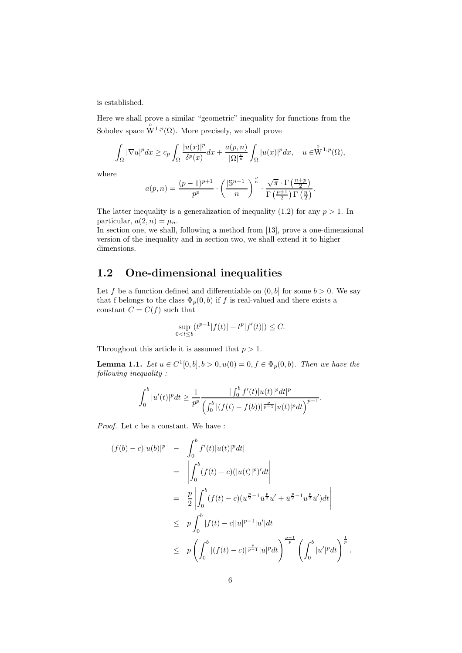is established.

Here we shall prove a similar "geometric" inequality for functions from the Sobolev space  $\overset{\circ}{\mathrm{W}}^{1,p}(\Omega)$ . More precisely, we shall prove

$$
\int_{\Omega} |\nabla u|^p dx \geq c_p \int_{\Omega} \frac{|u(x)|^p}{\delta^p(x)} dx + \frac{a(p,n)}{|\Omega|^{\frac{p}{n}}} \int_{\Omega} |u(x)|^p dx, \quad u \in \overset{\circ}{W}^{1,p}(\Omega),
$$

where

$$
a(p,n) = \frac{(p-1)^{p+1}}{p^p} \cdot \left(\frac{|\mathbb{S}^{n-1}|}{n}\right)^{\frac{p}{n}} \cdot \frac{\sqrt{\pi} \cdot \Gamma\left(\frac{n+p}{2}\right)}{\Gamma\left(\frac{p+1}{2}\right)\Gamma\left(\frac{n}{2}\right)}.
$$

The latter inequality is a generalization of inequality  $(1.2)$  for any  $p > 1$ . In particular,  $a(2, n) = \mu_n$ .

In section one, we shall, following a method from [13], prove a one-dimensional version of the inequality and in section two, we shall extend it to higher dimensions.

#### 1.2 One-dimensional inequalities

Let f be a function defined and differentiable on  $(0, b]$  for some  $b > 0$ . We say that f belongs to the class  $\Phi_p(0, b)$  if f is real-valued and there exists a constant  $C = C(f)$  such that

$$
\sup_{0 < t \le b} (t^{p-1}|f(t)| + t^p|f'(t)|) \le C.
$$

Throughout this article it is assumed that  $p > 1$ .

**Lemma 1.1.** Let  $u \in C^1[0, b], b > 0, u(0) = 0, f \in \Phi_p(0, b)$ . Then we have the following inequality :

$$
\int_0^b |u'(t)|^p dt \ge \frac{1}{p^p} \frac{|\int_0^b f'(t)|u(t)|^p dt|^p}{\left(\int_0^b |(f(t)-f(b))|^{\frac{p}{p-1}}|u(t)|^p dt\right)^{p-1}}.
$$

Proof. Let c be a constant. We have :

$$
\begin{split}\n\left| (f(b) - c)|u(b)|^p \right| &= \int_0^b f'(t)|u(t)|^p dt \\
&= \left| \int_0^b (f(t) - c)(|u(t)|^p)' dt \right| \\
&= \frac{p}{2} \left| \int_0^b (f(t) - c)(u^{\frac{p}{2} - 1} \bar{u}^{\frac{p}{2}} u' + \bar{u}^{\frac{p}{2} - 1} u^{\frac{p}{2}} \bar{u}') dt \right| \\
&\leq \quad p \int_0^b |f(t) - c||u|^{p-1} |u'| dt \\
&\leq \quad p \left( \int_0^b |(f(t) - c)|^{\frac{p}{p-1}} |u|^p dt \right)^{\frac{p-1}{p}} \left( \int_0^b |u'|^p dt \right)^{\frac{1}{p}}.\n\end{split}
$$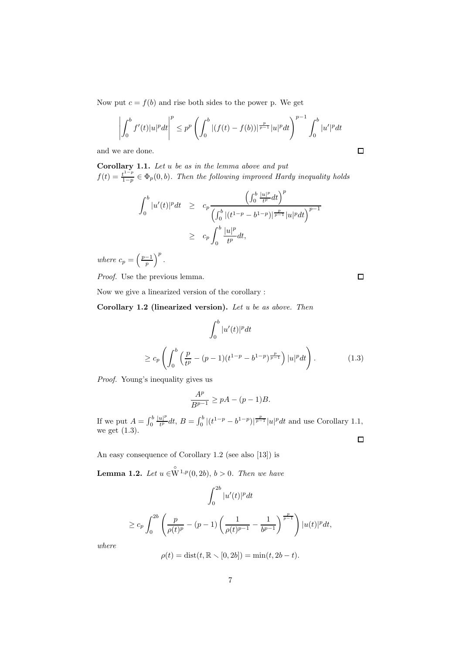Now put  $c = f(b)$  and rise both sides to the power p. We get

$$
\left| \int_0^b f'(t) |u|^p dt \right|^p \le p^p \left( \int_0^b |(f(t) - f(b))|^{\frac{p}{p-1}} |u|^p dt \right)^{p-1} \int_0^b |u'|^p dt
$$

and we are done.

Corollary 1.1. Let u be as in the lemma above and put  $f(t) = \frac{t^{1-p}}{1-p}$  $\frac{t^{1-p}}{1-p} \in \Phi_p(0,b)$ . Then the following improved Hardy inequality holds

$$
\int_0^b |u'(t)|^p dt \ge c_p \frac{\left(\int_0^b \frac{|u|^p}{t^p} dt\right)^p}{\left(\int_0^b |(t^{1-p} - b^{1-p})|^{\frac{p}{p-1}} |u|^p dt\right)^{p-1}}
$$
  

$$
\ge c_p \int_0^b \frac{|u|^p}{t^p} dt,
$$

where  $c_p = \left(\frac{p-1}{p}\right)^p$ .

Proof. Use the previous lemma.

 $\Box$ 

 $\Box$ 

Now we give a linearized version of the corollary :

Corollary 1.2 (linearized version). Let u be as above. Then

$$
\int_0^b |u'(t)|^p dt
$$
  
\n
$$
\geq c_p \left( \int_0^b \left( \frac{p}{t^p} - (p-1)(t^{1-p} - b^{1-p})^{\frac{p}{p-1}} \right) |u|^p dt \right). \tag{1.3}
$$

Proof. Young's inequality gives us

$$
\frac{A^p}{B^{p-1}} \ge pA - (p-1)B.
$$

If we put  $A = \int_0^b$  $|u|^p$  $\frac{u|^p}{t^p}dt, B = \int_0^b |(t^{1-p} - b^{1-p})|^{\frac{p}{p-1}} |u|^p dt$  and use Corollary 1.1, we get (1.3).  $\Box$ 

An easy consequence of Corollary 1.2 (see also [13]) is

**Lemma 1.2.** Let  $u \in \overset{\circ}{\mathbf{W}}^{1,p}(0, 2b)$ ,  $b > 0$ . Then we have

$$
\int_0^{2b} |u'(t)|^p dt
$$
  
\n
$$
\geq c_p \int_0^{2b} \left( \frac{p}{\rho(t)^p} - (p-1) \left( \frac{1}{\rho(t)^{p-1}} - \frac{1}{b^{p-1}} \right)^{\frac{p}{p-1}} \right) |u(t)|^p dt,
$$

where

$$
\rho(t) = \text{dist}(t, \mathbb{R} \setminus [0, 2b]) = \min(t, 2b - t).
$$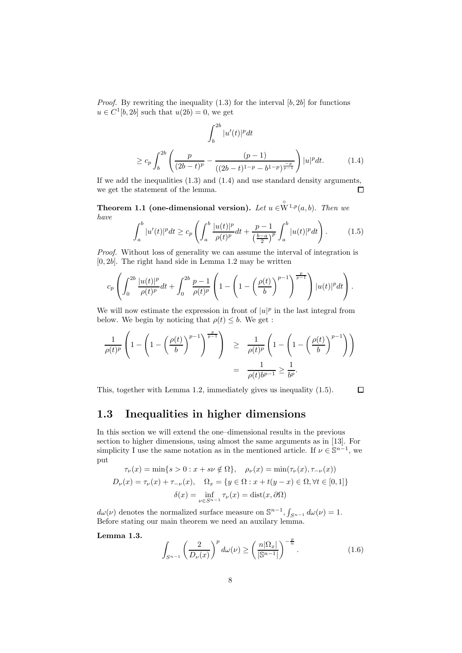*Proof.* By rewriting the inequality  $(1.3)$  for the interval  $[b, 2b]$  for functions  $u \in C^1[b, 2b]$  such that  $u(2b) = 0$ , we get

$$
\int_{b}^{2b} |u'(t)|^{p} dt
$$
  
\n
$$
\geq c_{p} \int_{b}^{2b} \left( \frac{p}{(2b-t)^{p}} - \frac{(p-1)}{((2b-t)^{1-p} - b^{1-p})^{\frac{-p}{p-1}}} \right) |u|^{p} dt.
$$
 (1.4)

If we add the inequalities (1.3) and (1.4) and use standard density arguments, we get the statement of the lemma.  $\Box$ 

**Theorem 1.1 (one-dimensional version).** Let  $u \in \overset{\circ}{W}^{1,p}(a, b)$ . Then we have

$$
\int_{a}^{b} |u'(t)|^{p} dt \geq c_{p} \left( \int_{a}^{b} \frac{|u(t)|^{p}}{\rho(t)^{p}} dt + \frac{p-1}{\left(\frac{b-a}{2}\right)^{p}} \int_{a}^{b} |u(t)|^{p} dt \right). \tag{1.5}
$$

Proof. Without loss of generality we can assume the interval of integration is  $[0, 2b]$ . The right hand side in Lemma 1.2 may be written

$$
c_p \left( \int_0^{2b} \frac{|u(t)|^p}{\rho(t)^p} dt + \int_0^{2b} \frac{p-1}{\rho(t)^p} \left( 1 - \left( 1 - \left( \frac{\rho(t)}{b} \right)^{p-1} \right)^{\frac{p}{p-1}} \right) |u(t)|^p dt \right).
$$

We will now estimate the expression in front of  $|u|^p$  in the last integral from below. We begin by noticing that  $\rho(t) \leq b$ . We get :

$$
\begin{array}{rcl} \displaystyle \frac{1}{\rho(t)^p}\left(1-\left(1-\left(\frac{\rho(t)}{b}\right)^{p-1}\right)^{\frac{p}{p-1}}\right)&\ge& \displaystyle \frac{1}{\rho(t)^p}\left(1-\left(1-\left(\frac{\rho(t)}{b}\right)^{p-1}\right)\right)\\ &=& \displaystyle \frac{1}{\rho(t)b^{p-1}}\geq \frac{1}{b^p}.\end{array}
$$

This, together with Lemma 1.2, immediately gives us inequality (1.5).

 $\Box$ 

#### 1.3 Inequalities in higher dimensions

In this section we will extend the one–dimensional results in the previous section to higher dimensions, using almost the same arguments as in [13]. For simplicity I use the same notation as in the mentioned article. If  $\nu \in \mathbb{S}^{n-1}$ , we put

$$
\tau_{\nu}(x) = \min\{s > 0 : x + s\nu \notin \Omega\}, \quad \rho_{\nu}(x) = \min(\tau_{\nu}(x), \tau_{-\nu}(x))
$$

$$
D_{\nu}(x) = \tau_{\nu}(x) + \tau_{-\nu}(x), \quad \Omega_{x} = \{y \in \Omega : x + t(y - x) \in \Omega, \forall t \in [0, 1]\}
$$

$$
\delta(x) = \inf_{\nu \in S^{n-1}} \tau_{\nu}(x) = \text{dist}(x, \partial\Omega)
$$

 $d\omega(\nu)$  denotes the normalized surface measure on  $\mathbb{S}^{n-1}$ ,  $\int_{S^{n-1}} d\omega(\nu) = 1$ . Before stating our main theorem we need an auxilary lemma.

Lemma 1.3.

$$
\int_{S^{n-1}} \left(\frac{2}{D_{\nu}(x)}\right)^{p} d\omega(\nu) \ge \left(\frac{n|\Omega_{x}|}{|\mathbb{S}^{n-1}|}\right)^{-\frac{p}{n}}.
$$
\n(1.6)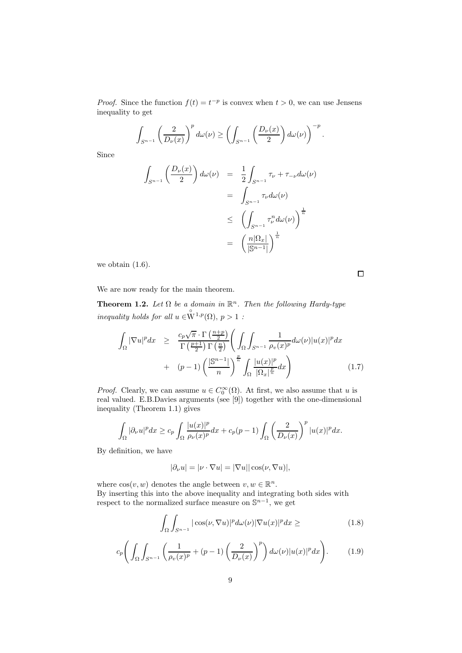*Proof.* Since the function  $f(t) = t^{-p}$  is convex when  $t > 0$ , we can use Jensens inequality to get

$$
\int_{S^{n-1}} \left(\frac{2}{D_{\nu}(x)}\right)^p d\omega(\nu) \ge \left(\int_{S^{n-1}} \left(\frac{D_{\nu}(x)}{2}\right) d\omega(\nu)\right)^{-p}.
$$

Since

$$
\int_{S^{n-1}} \left( \frac{D_{\nu}(x)}{2} \right) d\omega(\nu) = \frac{1}{2} \int_{S^{n-1}} \tau_{\nu} + \tau_{-\nu} d\omega(\nu)
$$

$$
= \int_{S^{n-1}} \tau_{\nu} d\omega(\nu)
$$

$$
\leq \left( \int_{S^{n-1}} \tau_{\nu}^n d\omega(\nu) \right)^{\frac{1}{n}}
$$

$$
= \left( \frac{n|\Omega_x|}{|\mathbb{S}^{n-1}|} \right)^{\frac{1}{n}}
$$

we obtain (1.6).

 $\Box$ 

We are now ready for the main theorem.

**Theorem 1.2.** Let  $\Omega$  be a domain in  $\mathbb{R}^n$ . Then the following Hardy-type inequality holds for all  $u \in \overset{\circ}{\mathrm{W}}^{1,p}(\Omega)$ ,  $p > 1$ :

$$
\int_{\Omega} |\nabla u|^p dx \geq \frac{c_p \sqrt{\pi} \cdot \Gamma\left(\frac{n+p}{2}\right)}{\Gamma\left(\frac{p+1}{2}\right) \Gamma\left(\frac{n}{2}\right)} \left(\int_{\Omega} \int_{S^{n-1}} \frac{1}{\rho_v(x)^p} d\omega(\nu) |u(x)|^p dx + (p-1) \left(\frac{|\mathbb{S}^{n-1}|}{n}\right)^{\frac{p}{n}} \int_{\Omega} \frac{|u(x)|^p}{|\Omega_x|^{\frac{p}{n}}} dx\right) \tag{1.7}
$$

*Proof.* Clearly, we can assume  $u \in C_0^{\infty}(\Omega)$ . At first, we also assume that u is real valued. E.B.Davies arguments (see [9]) together with the one-dimensional inequality (Theorem 1.1) gives

$$
\int_{\Omega} |\partial_{\nu}u|^p dx \geq c_p \int_{\Omega} \frac{|u(x)|^p}{\rho_{\nu}(x)^p} dx + c_p(p-1) \int_{\Omega} \left(\frac{2}{D_{\nu}(x)}\right)^p |u(x)|^p dx.
$$

By definition, we have

$$
|\partial_{\nu}u| = |\nu \cdot \nabla u| = |\nabla u| |\cos(\nu, \nabla u)|,
$$

where  $\cos(v, w)$  denotes the angle between  $v, w \in \mathbb{R}^n$ . By inserting this into the above inequality and integrating both sides with respect to the normalized surface measure on  $\mathbb{S}^{n-1}$ , we get

$$
\int_{\Omega} \int_{S^{n-1}} |\cos(\nu, \nabla u)|^p d\omega(\nu) |\nabla u(x)|^p dx \geq (1.8)
$$

$$
c_p\bigg(\int_{\Omega}\int_{S^{n-1}}\bigg(\frac{1}{\rho_v(x)^p}+(p-1)\bigg(\frac{2}{D_{\nu}(x)}\bigg)^p\bigg)\,d\omega(\nu)|u(x)|^pdx\bigg). \qquad (1.9)
$$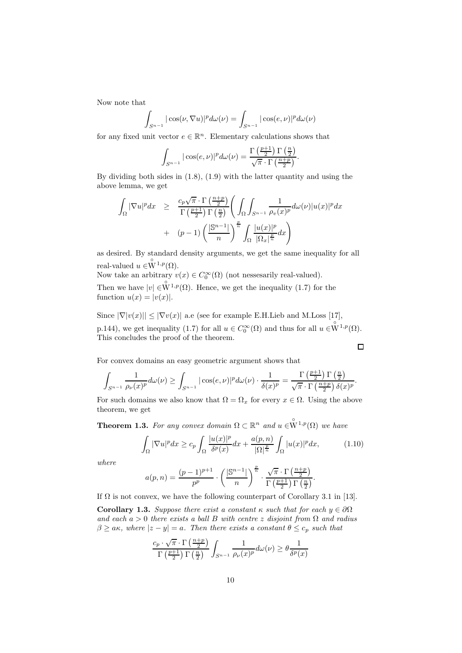Now note that

$$
\int_{S^{n-1}} |\cos(\nu, \nabla u)|^p d\omega(\nu) = \int_{S^{n-1}} |\cos(e, \nu)|^p d\omega(\nu)
$$

for any fixed unit vector  $e \in \mathbb{R}^n$ . Elementary calculations shows that

$$
\int_{S^{n-1}} |\cos(e,\nu)|^p d\omega(\nu) = \frac{\Gamma\left(\frac{p+1}{2}\right)\Gamma\left(\frac{n}{2}\right)}{\sqrt{\pi} \cdot \Gamma\left(\frac{n+p}{2}\right)}.
$$

By dividing both sides in (1.8), (1.9) with the latter quantity and using the above lemma, we get

$$
\int_{\Omega} |\nabla u|^p dx \geq \frac{c_p \sqrt{\pi} \cdot \Gamma\left(\frac{n+p}{2}\right)}{\Gamma\left(\frac{p+1}{2}\right) \Gamma\left(\frac{n}{2}\right)} \left(\int_{\Omega} \int_{S^{n-1}} \frac{1}{\rho_v(x)^p} d\omega(\nu) |u(x)|^p dx \n+ (p-1) \left(\frac{|\mathbb{S}^{n-1}|}{n}\right)^{\frac{p}{n}} \int_{\Omega} \frac{|u(x)|^p}{|\Omega_x|^{\frac{p}{n}}} dx\right)
$$

as desired. By standard density arguments, we get the same inequality for all real-valued  $u \in \overset{\circ}{\mathbf{W}}^{1,p}(\Omega)$ .

Now take an arbitrary  $v(x) \in C_0^{\infty}(\Omega)$  (not nesses arily real-valued). Then we have  $|v| \in \overset{\circ}{\mathbf{W}}^{1,p}(\Omega)$ . Hence, we get the inequality (1.7) for the function  $u(x) = |v(x)|$ .

Since  $|\nabla |v(x)|| \leq |\nabla v(x)|$  a.e (see for example E.H.Lieb and M.Loss [17], p.144), we get inequality (1.7) for all  $u \in C_0^{\infty}(\Omega)$  and thus for all  $u \in W^{1,p}(\Omega)$ . This concludes the proof of the theorem.  $\Box$ 

For convex domains an easy geometric argument shows that

$$
\int_{S^{n-1}} \frac{1}{\rho_{\nu}(x)^p} d\omega(\nu) \ge \int_{S^{n-1}} |\cos(e,\nu)|^p d\omega(\nu) \cdot \frac{1}{\delta(x)^p} = \frac{\Gamma\left(\frac{p+1}{2}\right) \Gamma\left(\frac{n}{2}\right)}{\sqrt{\pi} \cdot \Gamma\left(\frac{n+p}{2}\right) \delta(x)^p}.
$$

For such domains we also know that  $\Omega = \Omega_x$  for every  $x \in \Omega$ . Using the above theorem, we get

**Theorem 1.3.** For any convex domain  $\Omega \subset \mathbb{R}^n$  and  $u \in W^{1,p}(\Omega)$  we have

$$
\int_{\Omega} |\nabla u|^p dx \ge c_p \int_{\Omega} \frac{|u(x)|^p}{\delta^p(x)} dx + \frac{a(p,n)}{|\Omega|^{\frac{p}{n}}} \int_{\Omega} |u(x)|^p dx, \tag{1.10}
$$

where

$$
a(p,n)=\frac{(p-1)^{p+1}}{p^p}\cdot\left(\frac{|\mathbb{S}^{n-1}|}{n}\right)^{\frac{p}{n}}\cdot\frac{\sqrt{\pi}\cdot\Gamma\left(\frac{n+p}{2}\right)}{\Gamma\left(\frac{p+1}{2}\right)\Gamma\left(\frac{n}{2}\right)}.
$$

If  $\Omega$  is not convex, we have the following counterpart of Corollary 3.1 in [13].

Corollary 1.3. Suppose there exist a constant  $\kappa$  such that for each  $y \in \partial \Omega$ and each  $a > 0$  there exists a ball B with centre z disjoint from  $\Omega$  and radius  $\beta \ge a\kappa$ , where  $|z - y| = a$ . Then there exists a constant  $\theta \le c_p$  such that

$$
\frac{c_p\cdot \sqrt{\pi}\cdot \Gamma\left(\frac{n+p}{2}\right)}{\Gamma\left(\frac{p+1}{2}\right)\Gamma\left(\frac{n}{2}\right)}\int_{S^{n-1}}\frac{1}{\rho_\nu(x)^p}d\omega(\nu)\geq \theta\frac{1}{\delta^p(x)}
$$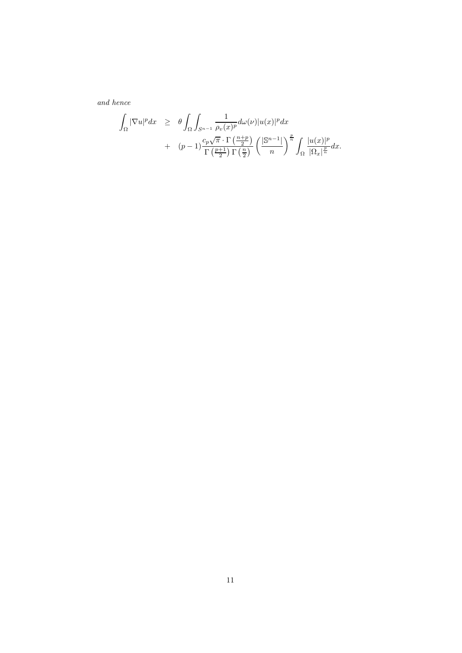and hence

$$
\int_{\Omega} |\nabla u|^p dx \geq \theta \int_{\Omega} \int_{S^{n-1}} \frac{1}{\rho_v(x)^p} d\omega(\nu) |u(x)|^p dx \n+ (p-1) \frac{c_p \sqrt{\pi} \cdot \Gamma\left(\frac{n+p}{2}\right)}{\Gamma\left(\frac{p+1}{2}\right) \Gamma\left(\frac{n}{2}\right)} \left(\frac{|\mathbb{S}^{n-1}|}{n}\right)^{\frac{p}{n}} \int_{\Omega} \frac{|u(x)|^p}{|\Omega_x|^{\frac{p}{n}}} dx.
$$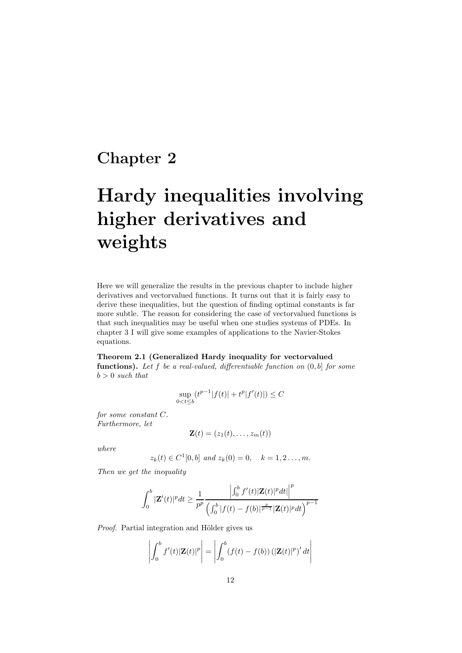## Chapter 2

# Hardy inequalities involving higher derivatives and weights

Here we will generalize the results in the previous chapter to include higher derivatives and vectorvalued functions. It turns out that it is fairly easy to derive these inequalities, but the question of finding optimal constants is far more subtle. The reason for considering the case of vectorvalued functions is that such inequalities may be useful when one studies systems of PDEs. In chapter 3 I will give some examples of applications to the Navier-Stokes equations.

Theorem 2.1 (Generalized Hardy inequality for vectorvalued functions). Let  $f$  be a real-valued, differentiable function on  $(0, b]$  for some  $b > 0$  such that

$$
\sup_{0 < t \le b} (t^{p-1}|f(t)| + t^p|f'(t)|) \le C
$$

for some constant C. Furthermore, let

$$
\mathbf{Z}(t)=(z_1(t),\ldots,z_m(t))
$$

where

$$
z_k(t) \in C^1[0,b]
$$
 and  $z_k(0) = 0$ ,  $k = 1, 2..., m$ .

Then we get the inequality

$$
\int_0^b |\mathbf{Z}'(t)|^p dt \ge \frac{1}{p^p} \frac{\left| \int_0^b f'(t) |\mathbf{Z}(t)|^p dt \right|^p}{\left( \int_0^b |f(t) - f(b)|^{\frac{p}{p-1}} |\mathbf{Z}(t)|^p dt \right)^{p-1}}
$$

Proof. Partial integration and Hölder gives us

$$
\left| \int_0^b f'(t) |\mathbf{Z}(t)|^p \right| = \left| \int_0^b (f(t) - f(b)) (|\mathbf{Z}(t)|^p)' dt \right|
$$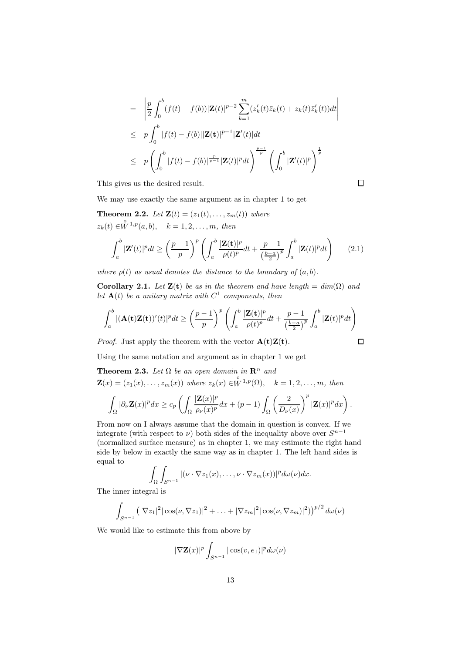$$
\begin{array}{lll} = & \left| \frac{p}{2} \int_0^b (f(t) - f(b)) |\mathbf{Z}(t)|^{p-2} \sum_{k=1}^m (z'_k(t) \bar{z}_k(t) + z_k(t) \bar{z}'_k(t)) dt \right| \\ \\ & \leq & p \int_0^b |f(t) - f(b)| |\mathbf{Z}(t)|^{p-1} |\mathbf{Z}'(t)| dt \\ \\ & \leq & p \left( \int_0^b |f(t) - f(b)|^{\frac{p}{p-1}} |\mathbf{Z}(t)|^p dt \right)^{\frac{p-1}{p}} \left( \int_0^b |\mathbf{Z}'(t)|^p \right)^{\frac{1}{p}} \end{array}
$$

 $\Box$ 

This gives us the desired result.

We may use exactly the same argument as in chapter 1 to get

**Theorem 2.2.** Let  $\mathbf{Z}(t) = (z_1(t), \ldots, z_m(t))$  where  $z_k(t) \in \stackrel{\circ}{W}^{1,p}(a,b), \quad k = 1, 2, \ldots, m, \text{ then}$ 

$$
\int_{a}^{b} |\mathbf{Z}'(t)|^{p} dt \geq \left(\frac{p-1}{p}\right)^{p} \left(\int_{a}^{b} \frac{|\mathbf{Z}(t)|^{p}}{\rho(t)^{p}} dt + \frac{p-1}{\left(\frac{b-a}{2}\right)^{p}} \int_{a}^{b} |\mathbf{Z}(t)|^{p} dt\right) \tag{2.1}
$$

where  $\rho(t)$  as usual denotes the distance to the boundary of  $(a, b)$ .

Corollary 2.1. Let  $\mathbf{Z}(t)$  be as in the theorem and have length = dim( $\Omega$ ) and let  $\mathbf{A}(t)$  be a unitary matrix with  $C^1$  components, then

$$
\int_{a}^{b} |(\mathbf{A}(\mathbf{t})\mathbf{Z}(\mathbf{t}))'(t)|^{p} dt \geq \left(\frac{p-1}{p}\right)^{p} \left(\int_{a}^{b} \frac{|\mathbf{Z}(\mathbf{t})|^{p}}{\rho(t)^{p}} dt + \frac{p-1}{\left(\frac{b-a}{2}\right)^{p}} \int_{a}^{b} |\mathbf{Z}(t)|^{p} dt\right)
$$
  
Proof. Just apply the theorem with the vector  $\mathbf{A}(\mathbf{t})\mathbf{Z}(\mathbf{t})$ .

*Proof.* Just apply the theorem with the vector  $\mathbf{A}(\mathbf{t})\mathbf{Z}(\mathbf{t})$ .

Using the same notation and argument as in chapter 1 we get

**Theorem 2.3.** Let 
$$
\Omega
$$
 be an open domain in  $\mathbb{R}^n$  and  
\n
$$
\mathbf{Z}(x) = (z_1(x), \dots, z_m(x)) \text{ where } z_k(x) \in W^{1,p}(\Omega), \quad k = 1, 2, \dots, m, \text{ then}
$$
\n
$$
\int_{\Omega} |\partial_{\nu} \mathbf{Z}(x)|^p dx \ge c_p \left( \int_{\Omega} \frac{|\mathbf{Z}(x)|^p}{\rho_{\nu}(x)^p} dx + (p-1) \int_{\Omega} \left( \frac{2}{D_{\nu}(x)} \right)^p |\mathbf{Z}(x)|^p dx \right).
$$

From now on I always assume that the domain in question is convex. If we integrate (with respect to  $\nu$ ) both sides of the inequality above over  $S^{n-1}$ (normalized surface measure) as in chapter 1, we may estimate the right hand side by below in exactly the same way as in chapter 1. The left hand sides is equal to

$$
\int_{\Omega}\int_{S^{n-1}} |(\nu \cdot \nabla z_1(x), \ldots, \nu \cdot \nabla z_m(x))|^p d\omega(\nu) dx.
$$

The inner integral is

$$
\int_{S^{n-1}} (|\nabla z_1|^2 |\cos(\nu, \nabla z_1)|^2 + \ldots + |\nabla z_m|^2 |\cos(\nu, \nabla z_m)|^2))^{p/2} d\omega(\nu)
$$

We would like to estimate this from above by

$$
|\nabla \mathbf{Z}(x)|^p \int_{S^{n-1}} |\cos(v, e_1)|^p d\omega(v)
$$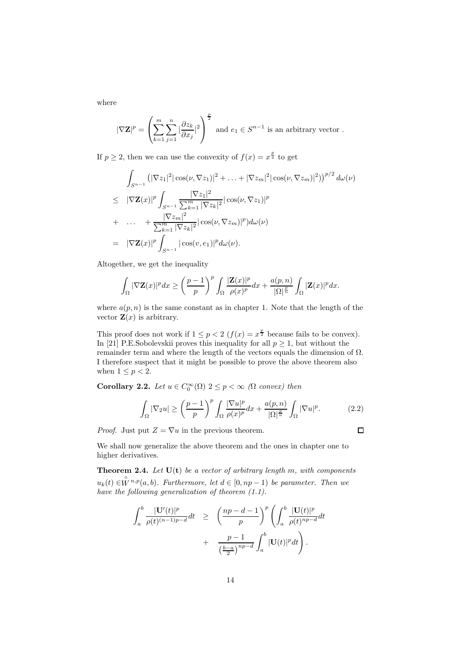where

$$
|\nabla \mathbf{Z}|^p = \left(\sum_{k=1}^m \sum_{j=1}^n |\frac{\partial z_k}{\partial x_j}|^2\right)^{\frac{p}{2}} \text{ and } e_1 \in S^{n-1} \text{ is an arbitrary vector }.
$$

If  $p \geq 2$ , then we can use the convexity of  $f(x) = x^{\frac{p}{2}}$  to get

$$
\int_{S^{n-1}} \left( |\nabla z_1|^2 |\cos(\nu, \nabla z_1)|^2 + \ldots + |\nabla z_m|^2 |\cos(\nu, \nabla z_m)|^2 \right)^{p/2} d\omega(\nu)
$$
\n
$$
\leq |\nabla \mathbf{Z}(x)|^p \int_{S^{n-1}} \frac{|\nabla z_1|^2}{\sum_{k=1}^m |\nabla z_k|^2} |\cos(\nu, \nabla z_1)|^p
$$
\n
$$
+ \ldots + \frac{|\nabla z_m|^2}{\sum_{k=1}^m |\nabla z_k|^2} |\cos(\nu, \nabla z_m)|^p) d\omega(\nu)
$$
\n
$$
= |\nabla \mathbf{Z}(x)|^p \int_{S^{n-1}} |\cos(\nu, e_1)|^p d\omega(\nu).
$$

Altogether, we get the inequality

$$
\int_{\Omega} |\nabla \mathbf{Z}(x)|^p dx \geq \left(\frac{p-1}{p}\right)^p \int_{\Omega} \frac{|\mathbf{Z}(x)|^p}{\rho(x)^p} dx + \frac{a(p,n)}{|\Omega|^{\frac{p}{n}}} \int_{\Omega} |\mathbf{Z}(x)|^p dx.
$$

where  $a(p, n)$  is the same constant as in chapter 1. Note that the length of the vector  $\mathbf{Z}(x)$  is arbitrary.

This proof does not work if  $1 \le p < 2$   $(f(x) = x^{\frac{p}{2}})$  because fails to be convex). In [21] P.E.Sobolevskii proves this inequality for all  $p \geq 1$ , but without the remainder term and where the length of the vectors equals the dimension of Ω. I therefore suspect that it might be possible to prove the above theorem also when  $1 \leq p < 2$ .

**Corollary 2.2.** Let  $u \in C_0^{\infty}(\Omega)$   $2 \leq p < \infty$  ( $\Omega$  convex) then

$$
\int_{\Omega} |\nabla_2 u| \ge \left(\frac{p-1}{p}\right)^p \int_{\Omega} \frac{|\nabla u|^p}{\rho(x)^p} dx + \frac{a(p,n)}{|\Omega|^{\frac{p}{n}}} \int_{\Omega} |\nabla u|^p. \tag{2.2}
$$

 $\Box$ 

*Proof.* Just put  $Z = \nabla u$  in the previous theorem.

We shall now generalize the above theorem and the ones in chapter one to higher derivatives.

**Theorem 2.4.** Let  $U(t)$  be a vector of arbitrary length m, with components  $u_k(t) \in \overset{\circ}{W}{}^{n,p}(a,b)$ . Furthermore, let  $d \in [0, np - 1)$  be parameter. Then we have the following generalization of theorem (1.1).

$$
\int_a^b \frac{|\mathbf{U}'(t)|^p}{\rho(t)^{(n-1)p-d}} dt \ge \left(\frac{np-d-1}{p}\right)^p \left(\int_a^b \frac{|\mathbf{U}(t)|^p}{\rho(t)^{np-d}} dt + \frac{p-1}{\left(\frac{b-a}{2}\right)^{np-d}} \int_a^b |\mathbf{U}(t)|^p dt\right).
$$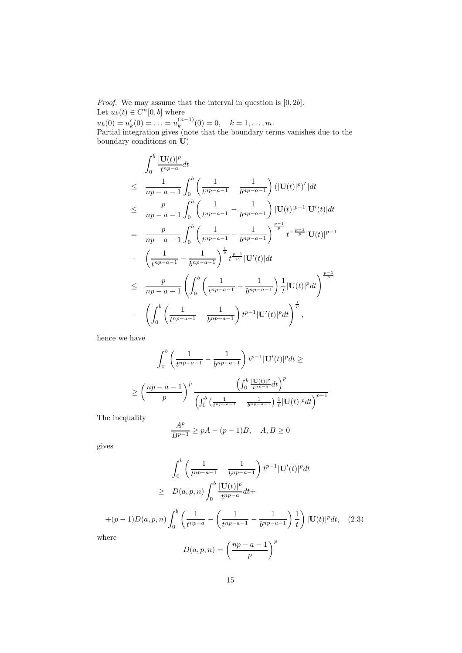*Proof.* We may assume that the interval in question is  $[0, 2b]$ . Let  $u_k(t) \in C^n[0, b]$  where

 $u_k(0) = u'_k(0) = \ldots = u_k^{(n-1)}$  $k^{(n-1)}(0) = 0, \quad k = 1, \ldots, m.$ Partial integration gives (note that the boundary terms vanishes due to the boundary conditions on U)

$$
\int_{0}^{b} \frac{|\mathbf{U}(t)|^{p}}{t^{np-a}} dt
$$
\n
$$
\leq \frac{1}{np-a-1} \int_{0}^{b} \left( \frac{1}{t^{np-a-1}} - \frac{1}{b^{np-a-1}} \right) (|\mathbf{U}(t)|^{p})' | dt
$$
\n
$$
\leq \frac{p}{np-a-1} \int_{0}^{b} \left( \frac{1}{t^{np-a-1}} - \frac{1}{b^{np-a-1}} \right) |\mathbf{U}(t)|^{p-1} |\mathbf{U}'(t)| dt
$$
\n
$$
= \frac{p}{np-a-1} \int_{0}^{b} \left( \frac{1}{t^{np-a-1}} - \frac{1}{b^{np-a-1}} \right)^{\frac{p-1}{p}} t^{-\frac{p-1}{p}} |\mathbf{U}(t)|^{p-1}
$$
\n
$$
\cdot \left( \frac{1}{t^{np-a-1}} - \frac{1}{b^{np-a-1}} \right)^{\frac{1}{p}} t^{\frac{p-1}{p}} |\mathbf{U}'(t)| dt
$$
\n
$$
\leq \frac{p}{np-a-1} \left( \int_{0}^{b} \left( \frac{1}{t^{np-a-1}} - \frac{1}{b^{np-a-1}} \right) \frac{1}{t} |\mathbf{U}(t)|^{p} dt \right)^{\frac{p-1}{p}}
$$
\n
$$
\cdot \left( \int_{0}^{b} \left( \frac{1}{t^{np-a-1}} - \frac{1}{b^{np-a-1}} \right) t^{p-1} |\mathbf{U}'(t)|^{p} dt \right)^{\frac{1}{p}},
$$

hence we have

$$
\int_0^b \left( \frac{1}{t^{np-a-1}} - \frac{1}{b^{np-a-1}} \right) t^{p-1} |\mathbf{U}'(t)|^p dt \ge
$$
  

$$
\ge \left( \frac{np-a-1}{p} \right)^p \frac{\left( \int_0^b \frac{|\mathbf{U}(t)|^p}{t^{np-a}} dt \right)^p}{\left( \int_0^b \left( \frac{1}{t^{np-a-1}} - \frac{1}{b^{np-a-1}} \right) \frac{1}{t} |\mathbf{U}(t)|^p dt \right)^{p-1}}
$$

The inequality

$$
\frac{A^p}{B^{p-1}} \ge pA - (p-1)B, \quad A, B \ge 0
$$

gives

$$
\int_0^b \left( \frac{1}{t^{np-a-1}} - \frac{1}{b^{np-a-1}} \right) t^{p-1} |\mathbf{U}'(t)|^p dt
$$
  
\n
$$
\geq D(a, p, n) \int_0^b \frac{|\mathbf{U}(t)|^p}{t^{np-a}} dt +
$$
  
\n+(p-1)D(a, p, n) 
$$
\int_0^b \left( \frac{1}{t^{np-a}} - \left( \frac{1}{t^{np-a-1}} - \frac{1}{b^{np-a-1}} \right) \frac{1}{t} \right) |\mathbf{U}(t)|^p dt, \quad (2.3)
$$
  
\nhere

 $w$ he

$$
D(a, p, n) = \left(\frac{np - a - 1}{p}\right)^p
$$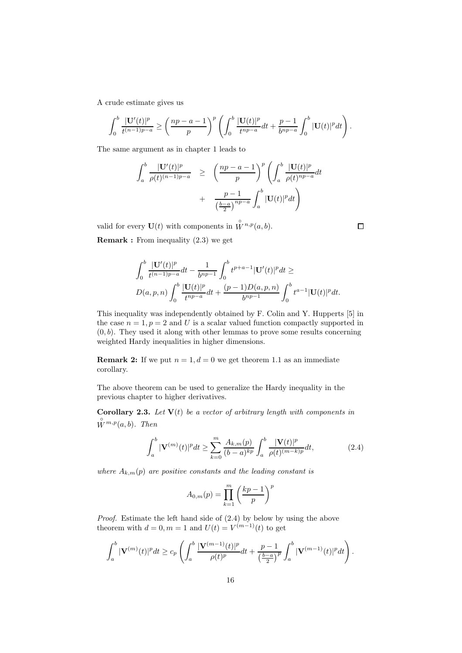A crude estimate gives us

$$
\int_0^b \frac{|\mathbf{U}'(t)|^p}{t^{(n-1)p-a}} \ge \left(\frac{np-a-1}{p}\right)^p \left(\int_0^b \frac{|\mathbf{U}(t)|^p}{t^{np-a}} dt + \frac{p-1}{b^{np-a}} \int_0^b |\mathbf{U}(t)|^p dt\right).
$$

The same argument as in chapter 1 leads to

$$
\int_{a}^{b} \frac{|\mathbf{U}'(t)|^{p}}{\rho(t)^{(n-1)p-a}} \geq \left(\frac{np-a-1}{p}\right)^{p} \left(\int_{a}^{b} \frac{|\mathbf{U}(t)|^{p}}{\rho(t)^{np-a}} dt + \frac{p-1}{\left(\frac{b-a}{2}\right)^{np-a}} \int_{a}^{b} |\mathbf{U}(t)|^{p} dt\right)
$$

valid for every  $\mathbf{U}(t)$  with components in  $\overset{\circ}{W}{}^{n,p}(a,b)$ .

Remark : From inequality (2.3) we get

$$
\int_0^b \frac{|\mathbf{U}'(t)|^p}{t^{(n-1)p-a}} dt - \frac{1}{b^{np-1}} \int_0^b t^{p+a-1} |\mathbf{U}'(t)|^p dt \ge
$$
  

$$
D(a, p, n) \int_0^b \frac{|\mathbf{U}(t)|^p}{t^{np-a}} dt + \frac{(p-1)D(a, p, n)}{b^{np-1}} \int_0^b t^{a-1} |\mathbf{U}(t)|^p dt.
$$

This inequality was independently obtained by F. Colin and Y. Hupperts [5] in the case  $n = 1, p = 2$  and U is a scalar valued function compactly supported in  $(0, b)$ . They used it along with other lemmas to prove some results concerning weighted Hardy inequalities in higher dimensions.

**Remark 2:** If we put  $n = 1, d = 0$  we get theorem 1.1 as an immediate corollary.

The above theorem can be used to generalize the Hardy inequality in the previous chapter to higher derivatives.

**Corollary 2.3.** Let  $V(t)$  be a vector of arbitrary length with components in  $\stackrel{\circ}{W}{}^{m,p}(a,b)$ . Then

$$
\int_{a}^{b} |\mathbf{V}^{(m)}(t)|^{p} dt \ge \sum_{k=0}^{m} \frac{A_{k,m}(p)}{(b-a)^{kp}} \int_{a}^{b} \frac{|\mathbf{V}(t)|^{p}}{\rho(t)^{(m-k)p}} dt,
$$
\n(2.4)

where  $A_{k,m}(p)$  are positive constants and the leading constant is

$$
A_{0,m}(p) = \prod_{k=1}^{m} \left(\frac{kp-1}{p}\right)^p
$$

Proof. Estimate the left hand side of (2.4) by below by using the above theorem with  $d = 0, m = 1$  and  $U(t) = V^{(m-1)}(t)$  to get

$$
\int_a^b |\mathbf{V}^{(m)}(t)|^p dt \ge c_p \left( \int_a^b \frac{|\mathbf{V}^{(m-1)}(t)|^p}{\rho(t)^p} dt + \frac{p-1}{\left(\frac{b-a}{2}\right)^p} \int_a^b |\mathbf{V}^{(m-1)}(t)|^p dt \right).
$$

 $\Box$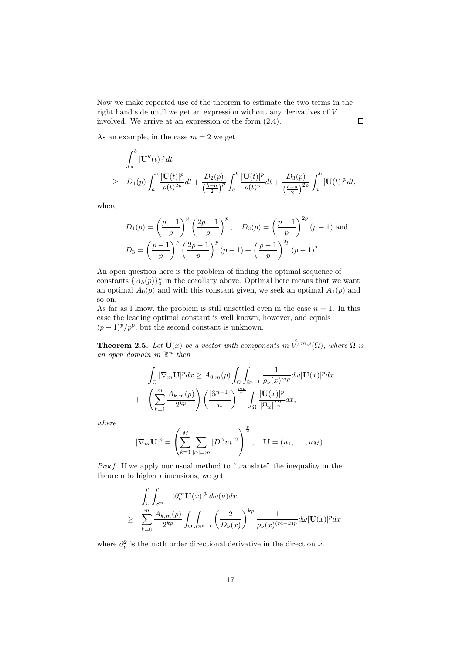Now we make repeated use of the theorem to estimate the two terms in the right hand side until we get an expression without any derivatives of V involved. We arrive at an expression of the form (2.4).

As an example, in the case  $m = 2$  we get

$$
\int_{a}^{b} |\mathbf{U}''(t)|^{p} dt
$$
\n
$$
\geq D_{1}(p) \int_{a}^{b} \frac{|\mathbf{U}(t)|^{p}}{\rho(t)^{2p}} dt + \frac{D_{2}(p)}{\left(\frac{b-a}{2}\right)^{p}} \int_{a}^{b} \frac{|\mathbf{U}(t)|^{p}}{\rho(t)^{p}} dt + \frac{D_{3}(p)}{\left(\frac{b-a}{2}\right)^{2p}} \int_{a}^{b} |\mathbf{U}(t)|^{p} dt,
$$

 $\Box$ 

where

$$
D_1(p) = \left(\frac{p-1}{p}\right)^p \left(\frac{2p-1}{p}\right)^p, \quad D_2(p) = \left(\frac{p-1}{p}\right)^{2p} (p-1) \text{ and}
$$

$$
D_3 = \left(\frac{p-1}{p}\right)^p \left(\frac{2p-1}{p}\right)^p (p-1) + \left(\frac{p-1}{p}\right)^{2p} (p-1)^2.
$$

An open question here is the problem of finding the optimal sequence of constants  $\{A_k(p)\}_0^n$  in the corollary above. Optimal here means that we want an optimal  $A_0(p)$  and with this constant given, we seek an optimal  $A_1(p)$  and so on.

As far as I know, the problem is still unsettled even in the case  $n = 1$ . In this case the leading optimal constant is well known, however, and equals  $(p-1)^p/p^p$ , but the second constant is unknown.

**Theorem 2.5.** Let  $U(x)$  be a vector with components in  $\overset{\circ}{W}^{m,p}(\Omega)$ , where  $\Omega$  is an open domain in  $\mathbb{R}^n$  then

$$
\int_{\Omega} |\nabla_m \mathbf{U}|^p dx \ge A_{0,m}(p) \int_{\Omega} \int_{\mathbb{S}^{n-1}} \frac{1}{\rho_{\nu}(x)^{mp}} d\omega |\mathbf{U}(x)|^p dx \n+ \left( \sum_{k=1}^m \frac{A_{k,m}(p)}{2^{kp}} \right) \left( \frac{|\mathbb{S}^{n-1}|}{n} \right)^{\frac{mp}{n}} \int_{\Omega} \frac{|\mathbf{U}(x)|^p}{|\Omega_x|^{\frac{mp}{n}}} dx,
$$

where

$$
|\nabla_m \mathbf{U}|^p = \left(\sum_{k=1}^M \sum_{|\alpha|=m} |D^{\alpha} u_k|^2\right)^{\frac{p}{2}}, \quad \mathbf{U} = (u_1, \dots, u_M).
$$

Proof. If we apply our usual method to "translate" the inequality in the theorem to higher dimensions, we get

$$
\int_{\Omega} \int_{S^{n-1}} |\partial_{\nu}^{m} \mathbf{U}(x)|^{p} d\omega(\nu) dx
$$
\n
$$
\geq \sum_{k=0}^{m} \frac{A_{k,m}(p)}{2^{kp}} \int_{\Omega} \int_{S^{n-1}} \left(\frac{2}{D_{\nu}(x)}\right)^{kp} \frac{1}{\rho_{\nu}(x)^{(m-k)p}} d\omega |\mathbf{U}(x)|^{p} dx
$$

where  $\partial_{\nu}^{2}$  is the m:th order directional derivative in the direction  $\nu$ .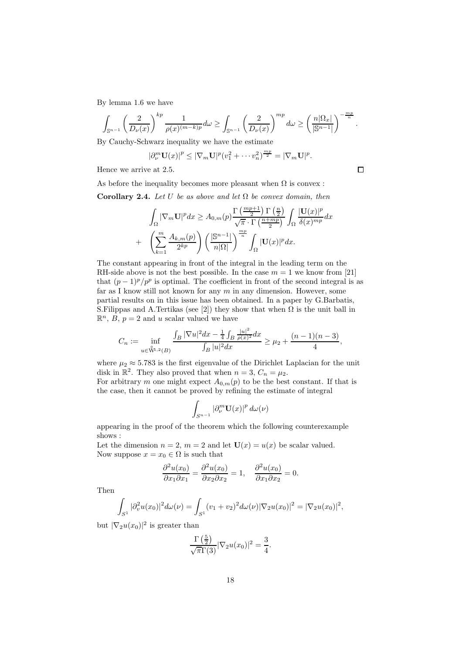By lemma 1.6 we have

$$
\int_{\mathbb{S}^{n-1}} \left(\frac{2}{D_{\nu}(x)}\right)^{kp} \frac{1}{\rho(x)^{(m-k)p}} d\omega \ge \int_{\mathbb{S}^{n-1}} \left(\frac{2}{D_{\nu}(x)}\right)^{mp} d\omega \ge \left(\frac{n|\Omega_x|}{|\mathbb{S}^{n-1}|}\right)^{-\frac{mp}{n}}.
$$

By Cauchy-Schwarz inequality we have the estimate

$$
|\partial_{\nu}^{m} \mathbf{U}(x)|^{p} \leq |\nabla_{m} \mathbf{U}|^{p} (v_{1}^{2} + \cdots v_{n}^{2})^{\frac{mp}{2}} = |\nabla_{m} \mathbf{U}|^{p}.
$$

Hence we arrive at 2.5.

As before the inequality becomes more pleasant when  $\Omega$  is convex :

Corollary 2.4. Let U be as above and let  $\Omega$  be convex domain, then

$$
\int_{\Omega} |\nabla_m \mathbf{U}|^p dx \ge A_{0,m}(p) \frac{\Gamma\left(\frac{mp+1}{2}\right) \Gamma\left(\frac{n}{2}\right)}{\sqrt{\pi} \cdot \Gamma\left(\frac{n+mp}{2}\right)} \int_{\Omega} \frac{|\mathbf{U}(x)|^p}{\delta(x)^{mp}} dx
$$

$$
+ \left(\sum_{k=1}^m \frac{A_{k,m}(p)}{2^{kp}}\right) \left(\frac{|\mathbb{S}^{n-1}|}{n|\Omega|}\right)^{\frac{mp}{n}} \int_{\Omega} |\mathbf{U}(x)|^p dx.
$$

The constant appearing in front of the integral in the leading term on the RH-side above is not the best possible. In the case  $m = 1$  we know from [21] that  $(p-1)^p/p^p$  is optimal. The coefficient in front of the second integral is as far as I know still not known for any  $m$  in any dimension. However, some partial results on in this issue has been obtained. In a paper by G.Barbatis, S. Filippas and A.Tertikas (see [2]) they show that when  $\Omega$  is the unit ball in  $\mathbb{R}^n$ , B,  $p = 2$  and u scalar valued we have

$$
C_n := \inf_{u \in \overset{\circ}{\mathbf{W}}^{n,2}(B)} \frac{\int_B |\nabla u|^2 dx - \frac{1}{4} \int_B \frac{|u|^2}{\rho(x)^2} dx}{\int_B |u|^2 dx} \ge \mu_2 + \frac{(n-1)(n-3)}{4},
$$

where  $\mu_2 \approx 5.783$  is the first eigenvalue of the Dirichlet Laplacian for the unit disk in  $\mathbb{R}^2$ . They also proved that when  $n = 3, C_n = \mu_2$ .

For arbitrary m one might expect  $A_{0,m}(p)$  to be the best constant. If that is the case, then it cannot be proved by refining the estimate of integral

$$
\int_{S^{n-1}} \left|\partial_{\nu}^m \mathbf{U}(x)\right|^p d\omega(\nu)
$$

appearing in the proof of the theorem which the following counterexample shows :

Let the dimension  $n = 2$ ,  $m = 2$  and let  $U(x) = u(x)$  be scalar valued. Now suppose  $x = x_0 \in \Omega$  is such that

$$
\frac{\partial^2 u(x_0)}{\partial x_1 \partial x_1} = \frac{\partial^2 u(x_0)}{\partial x_2 \partial x_2} = 1, \quad \frac{\partial^2 u(x_0)}{\partial x_1 \partial x_2} = 0.
$$

Then

$$
\int_{S^1} |\partial_v^2 u(x_0)|^2 d\omega(\nu) = \int_{S^1} (v_1 + v_2)^2 d\omega(\nu) |\nabla_2 u(x_0)|^2 = |\nabla_2 u(x_0)|^2,
$$

but  $|\nabla_2 u(x_0)|^2$  is greater than

$$
\frac{\Gamma\left(\frac{5}{2}\right)}{\sqrt{\pi}\Gamma(3)}|\nabla_2 u(x_0)|^2 = \frac{3}{4}.
$$

 $\Box$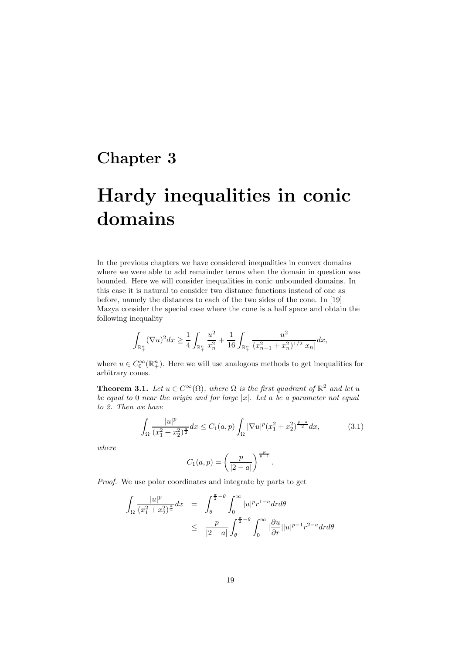## Chapter 3

# Hardy inequalities in conic domains

In the previous chapters we have considered inequalities in convex domains where we were able to add remainder terms when the domain in question was bounded. Here we will consider inequalities in conic unbounded domains. In this case it is natural to consider two distance functions instead of one as before, namely the distances to each of the two sides of the cone. In [19] Mazya consider the special case where the cone is a half space and obtain the following inequality

$$
\int_{\mathbb{R}^n_+} (\nabla u)^2 dx \ge \frac{1}{4} \int_{\mathbb{R}^n_+} \frac{u^2}{x_n^2} + \frac{1}{16} \int_{\mathbb{R}^n_+} \frac{u^2}{(x_{n-1}^2 + x_n^2)^{1/2} |x_n|} dx,
$$

where  $u \in C_0^{\infty}(\mathbb{R}^n_+)$ . Here we will use analogous methods to get inequalities for arbitrary cones.

**Theorem 3.1.** Let  $u \in C^{\infty}(\Omega)$ , where  $\Omega$  is the first quadrant of  $\mathbb{R}^2$  and let u be equal to 0 near the origin and for large  $|x|$ . Let a be a parameter not equal to 2. Then we have

$$
\int_{\Omega} \frac{|u|^p}{(x_1^2 + x_2^2)^{\frac{a}{2}}} dx \le C_1(a, p) \int_{\Omega} |\nabla u|^p (x_1^2 + x_2^2)^{\frac{p-a}{2}} dx, \tag{3.1}
$$

where

$$
C_1(a,p) = \left(\frac{p}{|2-a|}\right)^{\frac{p}{p-1}}.
$$

Proof. We use polar coordinates and integrate by parts to get

$$
\int_{\Omega} \frac{|u|^p}{(x_1^2 + x_2^2)^{\frac{a}{2}}} dx = \int_{\theta}^{\frac{\pi}{2} - \theta} \int_0^{\infty} |u|^p r^{1-a} dr d\theta
$$
\n
$$
\leq \frac{p}{|2 - a|} \int_{\theta}^{\frac{\pi}{2} - \theta} \int_0^{\infty} |\frac{\partial u}{\partial r}| |u|^{p-1} r^{2-a} dr d\theta
$$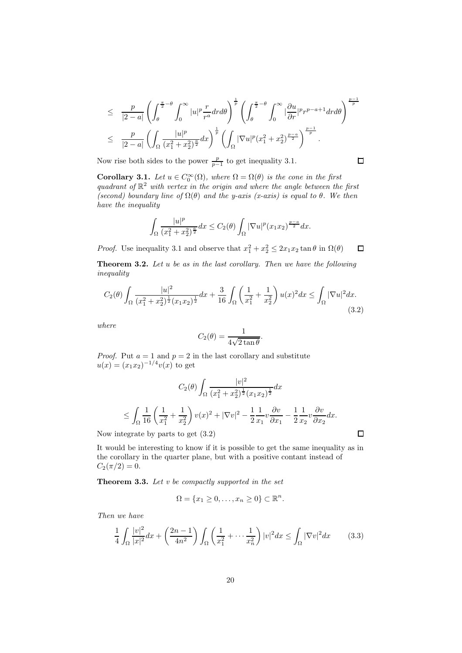$$
\leq \frac{p}{|2-a|} \left( \int_{\theta}^{\frac{\pi}{2}-\theta} \int_0^{\infty} |u|^p \frac{r}{r^a} dr d\theta \right)^{\frac{1}{p}} \left( \int_{\theta}^{\frac{\pi}{2}-\theta} \int_0^{\infty} |\frac{\partial u}{\partial r}|^p r^{p-a+1} dr d\theta \right)^{\frac{p-1}{p}}
$$
  

$$
\leq \frac{p}{|2-a|} \left( \int_{\Omega} \frac{|u|^p}{(x_1^2+x_2^2)^{\frac{a}{2}}} dx \right)^{\frac{1}{p}} \left( \int_{\Omega} |\nabla u|^p (x_1^2+x_2^2)^{\frac{p-a}{2}} \right)^{\frac{p-1}{p}}.
$$

Now rise both sides to the power  $\frac{p}{p-1}$  to get inequality 3.1.

**Corollary 3.1.** Let  $u \in C_0^{\infty}(\Omega)$ , where  $\Omega = \Omega(\theta)$  is the cone in the first quadrant of  $\mathbb{R}^2$  with vertex in the origin and where the angle between the first (second) boundary line of  $\Omega(\theta)$  and the y-axis (x-axis) is equal to  $\theta$ . We then have the inequality

$$
\int_{\Omega} \frac{|u|^p}{(x_1^2 + x_2^2)^{\frac{a}{2}}} dx \le C_2(\theta) \int_{\Omega} |\nabla u|^p (x_1 x_2)^{\frac{p-a}{2}} dx.
$$

*Proof.* Use inequality 3.1 and observe that  $x_1^2 + x_2^2 \le 2x_1x_2 \tan \theta$  in  $\Omega(\theta)$  $\Box$ 

Theorem 3.2. Let u be as in the last corollary. Then we have the following inequality

$$
C_2(\theta) \int_{\Omega} \frac{|u|^2}{(x_1^2 + x_2^2)^{\frac{1}{2}} (x_1 x_2)^{\frac{1}{2}}} dx + \frac{3}{16} \int_{\Omega} \left(\frac{1}{x_1^2} + \frac{1}{x_2^2}\right) u(x)^2 dx \le \int_{\Omega} |\nabla u|^2 dx. \tag{3.2}
$$

where

$$
C_2(\theta) = \frac{1}{4\sqrt{2\tan\theta}}.
$$

*Proof.* Put  $a = 1$  and  $p = 2$  in the last corollary and substitute  $u(x) = (x_1 x_2)^{-1/4} v(x)$  to get

$$
C_2(\theta) \int_{\Omega} \frac{|v|^2}{(x_1^2 + x_2^2)^{\frac{1}{2}} (x_1 x_2)^{\frac{1}{2}}} dx
$$
  
\n
$$
\leq \int_{\Omega} \frac{1}{16} \left( \frac{1}{x_1^2} + \frac{1}{x_2^2} \right) v(x)^2 + |\nabla v|^2 - \frac{1}{2} \frac{1}{x_1} v \frac{\partial v}{\partial x_1} - \frac{1}{2} \frac{1}{x_2} v \frac{\partial v}{\partial x_2} dx.
$$

Now integrate by parts to get (3.2)

It would be interesting to know if it is possible to get the same inequality as in the corollary in the quarter plane, but with a positive contant instead of  $C_2(\pi/2) = 0.$ 

**Theorem 3.3.** Let  $v$  be compactly supported in the set

$$
\Omega = \{x_1 \ge 0, \dots, x_n \ge 0\} \subset \mathbb{R}^n.
$$

Then we have

$$
\frac{1}{4} \int_{\Omega} \frac{|v|^2}{|x|^2} dx + \left(\frac{2n-1}{4n^2}\right) \int_{\Omega} \left(\frac{1}{x_1^2} + \dots + \frac{1}{x_n^2}\right) |v|^2 dx \le \int_{\Omega} |\nabla v|^2 dx \qquad (3.3)
$$

 $\Box$ 

 $\Box$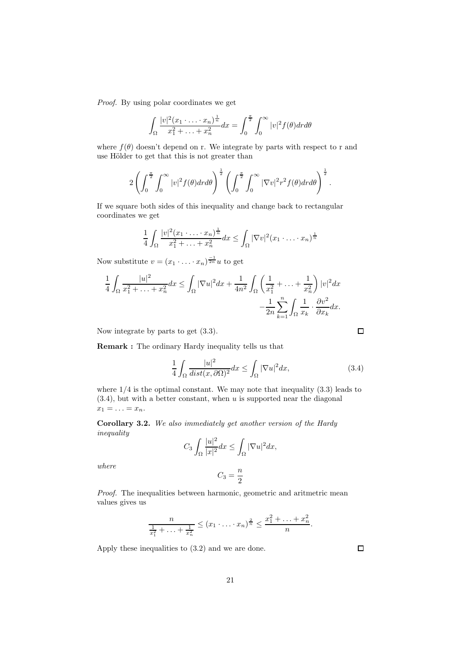Proof. By using polar coordinates we get

$$
\int_{\Omega} \frac{|v|^2 (x_1 \cdot \ldots \cdot x_n)^{\frac{1}{n}}}{x_1^2 + \ldots + x_n^2} dx = \int_0^{\frac{\pi}{2}} \int_0^{\infty} |v|^2 f(\theta) dr d\theta
$$

where  $f(\theta)$  doesn't depend on r. We integrate by parts with respect to r and use Hölder to get that this is not greater than

$$
2\left(\int_0^{\frac{\pi}{2}}\int_0^{\infty}|v|^2f(\theta)drd\theta\right)^{\frac{1}{2}}\left(\int_0^{\frac{\pi}{2}}\int_0^{\infty}|\nabla v|^2r^2f(\theta)drd\theta\right)^{\frac{1}{2}}.
$$

If we square both sides of this inequality and change back to rectangular coordinates we get

$$
\frac{1}{4} \int_{\Omega} \frac{|v|^2 (x_1 \cdot \ldots \cdot x_n)^{\frac{1}{n}}}{x_1^2 + \ldots + x_n^2} dx \le \int_{\Omega} |\nabla v|^2 (x_1 \cdot \ldots \cdot x_n)^{\frac{1}{n}}
$$

Now substitute  $v = (x_1 \cdot \ldots \cdot x_n)^{\frac{-1}{2n}} u$  to get

$$
\frac{1}{4} \int_{\Omega} \frac{|u|^2}{x_1^2 + \ldots + x_n^2} dx \le \int_{\Omega} |\nabla u|^2 dx + \frac{1}{4n^2} \int_{\Omega} \left( \frac{1}{x_1^2} + \ldots + \frac{1}{x_n^2} \right) |v|^2 dx \n- \frac{1}{2n} \sum_{k=1}^n \int_{\Omega} \frac{1}{x_k} \cdot \frac{\partial v^2}{\partial x_k} dx.
$$

Now integrate by parts to get (3.3).

Remark : The ordinary Hardy inequality tells us that

$$
\frac{1}{4} \int_{\Omega} \frac{|u|^2}{\operatorname{dist}(x, \partial \Omega)^2} dx \le \int_{\Omega} |\nabla u|^2 dx, \tag{3.4}
$$

where  $1/4$  is the optimal constant. We may note that inequality  $(3.3)$  leads to  $(3.4)$ , but with a better constant, when u is supported near the diagonal  $x_1 = \ldots = x_n.$ 

Corollary 3.2. We also immediately get another version of the Hardy inequality

$$
C_3 \int_{\Omega} \frac{|u|^2}{|x|^2} dx \le \int_{\Omega} |\nabla u|^2 dx,
$$

where

$$
C_3=\frac{n}{2}
$$

Proof. The inequalities between harmonic, geometric and aritmetric mean values gives us

$$
\frac{n}{\frac{1}{x_1^2} + \ldots + \frac{1}{x_n^2}} \le (x_1 \cdot \ldots \cdot x_n)^{\frac{2}{n}} \le \frac{x_1^2 + \ldots + x_n^2}{n}.
$$

Apply these inequalities to (3.2) and we are done.

 $\Box$ 

 $\Box$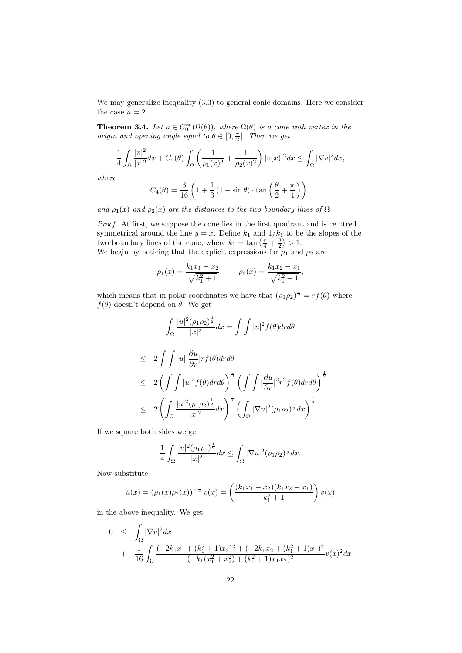We may generalize inequality (3.3) to general conic domains. Here we consider the case  $n = 2$ .

**Theorem 3.4.** Let  $u \in C_0^{\infty}(\Omega(\theta))$ , where  $\Omega(\theta)$  is a cone with vertex in the origin and opening angle equal to  $\theta \in [0, \frac{\pi}{2}]$ . Then we get

$$
\frac{1}{4}\int_{\Omega}\frac{|v|^2}{|x|^2}dx + C_4(\theta)\int_{\Omega}\left(\frac{1}{\rho_1(x)^2} + \frac{1}{\rho_2(x)^2}\right)|v(x)|^2dx \le \int_{\Omega}|\nabla v|^2dx,
$$

where

$$
C_4(\theta) = \frac{3}{16} \left( 1 + \frac{1}{3} \left( 1 - \sin \theta \right) \cdot \tan \left( \frac{\theta}{2} + \frac{\pi}{4} \right) \right).
$$

and  $\rho_1(x)$  and  $\rho_2(x)$  are the distances to the two boundary lines of  $\Omega$ 

Proof. At first, we suppose the cone lies in the first quadrant and is ce ntred symmetrical around the line  $y = x$ . Define  $k_1$  and  $1/k_1$  to be the slopes of the two boundary lines of the cone, where  $k_1 = \tan\left(\frac{\pi}{4} + \frac{\theta}{2}\right) > 1$ . We begin by noticing that the explicit expressions for  $\rho_1$  and  $\rho_2$  are

$$
\rho_1(x) = \frac{k_1 x_1 - x_2}{\sqrt{k_1^2 + 1}}, \qquad \rho_2(x) = \frac{k_1 x_2 - x_1}{\sqrt{k_1^2 + 1}},
$$

which means that in polar coordinates we have that  $(\rho_1 \rho_2)^{\frac{1}{2}} = rf(\theta)$  where  $f(\theta)$  doesn't depend on  $\theta$ . We get

$$
\int_{\Omega} \frac{|u|^2 (\rho_1 \rho_2)^{\frac{1}{2}}}{|x|^2} dx = \int \int |u|^2 f(\theta) dr d\theta
$$
  

$$
\leq 2 \int \int |u||\frac{\partial u}{\partial r}|r f(\theta) dr d\theta
$$

$$
\leq 2 \left( \int \int |u|^2 f(\theta) dr d\theta \right)^{\frac{1}{2}} \left( \int \int |\frac{\partial u}{\partial r}|^2 r^2 f(\theta) dr d\theta \right)^{\frac{1}{2}}
$$
  

$$
\leq 2 \left( \int_{\Omega} \frac{|u|^2 (\rho_1 \rho_2)^{\frac{1}{2}}}{|x|^2} dx \right)^{\frac{1}{2}} \left( \int_{\Omega} |\nabla u|^2 (\rho_1 \rho_2)^{\frac{1}{2}} dx \right)^{\frac{1}{2}}.
$$

If we square both sides we get

$$
\frac{1}{4} \int_{\Omega} \frac{|u|^2 (\rho_1 \rho_2)^{\frac{1}{2}}}{|x|^2} dx \le \int_{\Omega} |\nabla u|^2 (\rho_1 \rho_2)^{\frac{1}{2}} dx.
$$

Now substitute

$$
u(x) = (\rho_1(x)\rho_2(x))^{-\frac{1}{4}}v(x) = \left(\frac{(k_1x_1 - x_2)(k_1x_2 - x_1)}{k_1^2 + 1}\right)v(x)
$$

in the above inequality. We get

$$
0 \leq \int_{\Omega} |\nabla v|^2 dx
$$
  
+ 
$$
\frac{1}{16} \int_{\Omega} \frac{(-2k_1x_1 + (k_1^2 + 1)x_2)^2 + (-2k_1x_2 + (k_1^2 + 1)x_1)^2}{(-k_1(x_1^2 + x_2^2) + (k_1^2 + 1)x_1x_2)^2} v(x)^2 dx
$$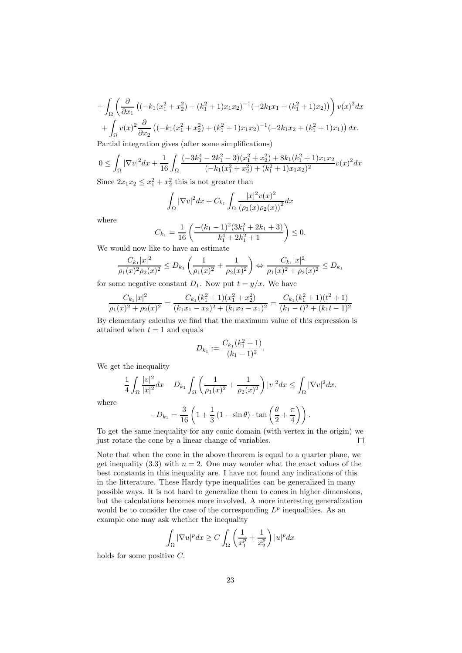$$
+\int_{\Omega} \left( \frac{\partial}{\partial x_1} \left( (-k_1(x_1^2 + x_2^2) + (k_1^2 + 1)x_1x_2)^{-1} (-2k_1x_1 + (k_1^2 + 1)x_2) \right) \right) v(x)^2 dx
$$

$$
+\int_{\Omega} v(x)^2 \frac{\partial}{\partial x_2} \left( (-k_1(x_1^2 + x_2^2) + (k_1^2 + 1)x_1x_2)^{-1} (-2k_1x_2 + (k_1^2 + 1)x_1) \right) dx.
$$

Partial integration gives (after some simplifications)

$$
0 \leq \int_{\Omega} |\nabla v|^2 dx + \frac{1}{16} \int_{\Omega} \frac{(-3k_1^4 - 2k_1^2 - 3)(x_1^2 + x_2^2) + 8k_1(k_1^2 + 1)x_1x_2}{(-k_1(x_1^2 + x_2^2) + (k_1^2 + 1)x_1x_2)^2} v(x)^2 dx
$$
  
Since  $2\pi$   $\leq$   $\leq$   $\frac{2}{3}$   $\frac{1}{3}$   $\frac{2}{3}$  this is not present then

Since  $2x_1x_2 \leq x_1^2 + x_2^2$  this is not greater than

$$
\int_{\Omega} |\nabla v|^2 dx + C_{k_1} \int_{\Omega} \frac{|x|^2 v(x)^2}{(\rho_1(x)\rho_2(x))^2} dx
$$

where

$$
C_{k_1} = \frac{1}{16} \left( \frac{-(k_1 - 1)^2 (3k_1^2 + 2k_1 + 3)}{k_1^4 + 2k_1^2 + 1} \right) \le 0.
$$

We would now like to have an estimate

$$
\frac{C_{k_1}|x|^2}{\rho_1(x)^2\rho_2(x)^2} \le D_{k_1}\left(\frac{1}{\rho_1(x)^2} + \frac{1}{\rho_2(x)^2}\right) \Leftrightarrow \frac{C_{k_1}|x|^2}{\rho_1(x)^2 + \rho_2(x)^2} \le D_{k_1}
$$

for some negative constant  $D_1$ . Now put  $t = y/x$ . We have

$$
\frac{C_{k_1}|x|^2}{\rho_1(x)^2 + \rho_2(x)^2} = \frac{C_{k_1}(k_1^2 + 1)(x_1^2 + x_2^2)}{(k_1x_1 - x_2)^2 + (k_1x_2 - x_1)^2} = \frac{C_{k_1}(k_1^2 + 1)(t^2 + 1)}{(k_1 - t)^2 + (k_1t - 1)^2}
$$

By elementary calculus we find that the maximum value of this expression is attained when  $t = 1$  and equals

$$
D_{k_1} := \frac{C_{k_1}(k_1^2 + 1)}{(k_1 - 1)^2}.
$$

We get the inequality

$$
\frac{1}{4} \int_{\Omega} \frac{|v|^2}{|x|^2} dx - D_{k_1} \int_{\Omega} \left( \frac{1}{\rho_1(x)^2} + \frac{1}{\rho_2(x)^2} \right) |v|^2 dx \le \int_{\Omega} |\nabla v|^2 dx.
$$

where

$$
-D_{k_1} = \frac{3}{16} \left( 1 + \frac{1}{3} \left( 1 - \sin \theta \right) \cdot \tan \left( \frac{\theta}{2} + \frac{\pi}{4} \right) \right).
$$

To get the same inequality for any conic domain (with vertex in the origin) we just rotate the cone by a linear change of variables.  $\Box$ 

Note that when the cone in the above theorem is equal to a quarter plane, we get inequality (3.3) with  $n = 2$ . One may wonder what the exact values of the best constants in this inequality are. I have not found any indications of this in the litterature. These Hardy type inequalities can be generalized in many possible ways. It is not hard to generalize them to cones in higher dimensions, but the calculations becomes more involved. A more interesting generalization would be to consider the case of the corresponding  $L^p$  inequalities. As an example one may ask whether the inequality

$$
\int_{\Omega} |\nabla u|^p dx \ge C \int_{\Omega} \left( \frac{1}{x_1^p} + \frac{1}{x_2^p} \right) |u|^p dx
$$

holds for some positive C.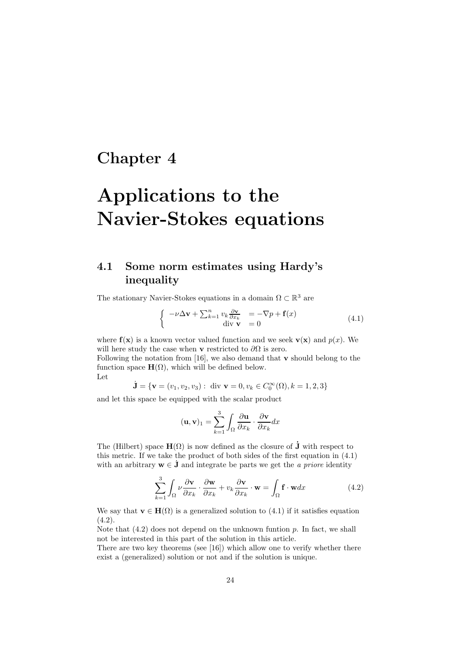## Chapter 4

# Applications to the Navier-Stokes equations

#### 4.1 Some norm estimates using Hardy's inequality

The stationary Navier-Stokes equations in a domain  $\Omega \subset \mathbb{R}^3$  are

$$
\begin{cases}\n-\nu \Delta \mathbf{v} + \sum_{k=1}^{n} v_k \frac{\partial \mathbf{v}}{\partial x_k} &= -\nabla p + \mathbf{f}(x) \\
\text{div } \mathbf{v} &= 0\n\end{cases} \tag{4.1}
$$

where  $f(x)$  is a known vector valued function and we seek  $\mathbf{v}(x)$  and  $p(x)$ . We will here study the case when v restricted to  $\partial\Omega$  is zero.

Following the notation from [16], we also demand that  $\bf{v}$  should belong to the function space  $\mathbf{H}(\Omega)$ , which will be defined below.

Let

$$
\dot{\mathbf{J}} = \{ \mathbf{v} = (v_1, v_2, v_3) : \text{ div } \mathbf{v} = 0, v_k \in C_0^{\infty}(\Omega), k = 1, 2, 3 \}
$$

and let this space be equipped with the scalar product

$$
(\mathbf{u}, \mathbf{v})_1 = \sum_{k=1}^3 \int_{\Omega} \frac{\partial \mathbf{u}}{\partial x_k} \cdot \frac{\partial \mathbf{v}}{\partial x_k} dx
$$

The (Hilbert) space  $\mathbf{H}(\Omega)$  is now defined as the closure of  $\dot{\mathbf{J}}$  with respect to this metric. If we take the product of both sides of the first equation in (4.1) with an arbitrary  $w \in J$  and integrate be parts we get the *a priore* identity

$$
\sum_{k=1}^{3} \int_{\Omega} \nu \frac{\partial \mathbf{v}}{\partial x_k} \cdot \frac{\partial \mathbf{w}}{\partial x_k} + v_k \frac{\partial \mathbf{v}}{\partial x_k} \cdot \mathbf{w} = \int_{\Omega} \mathbf{f} \cdot \mathbf{w} dx \tag{4.2}
$$

We say that  $\mathbf{v} \in \mathbf{H}(\Omega)$  is a generalized solution to (4.1) if it satisfies equation  $(4.2).$ 

Note that  $(4.2)$  does not depend on the unknown funtion  $p$ . In fact, we shall not be interested in this part of the solution in this article.

There are two key theorems (see [16]) which allow one to verify whether there exist a (generalized) solution or not and if the solution is unique.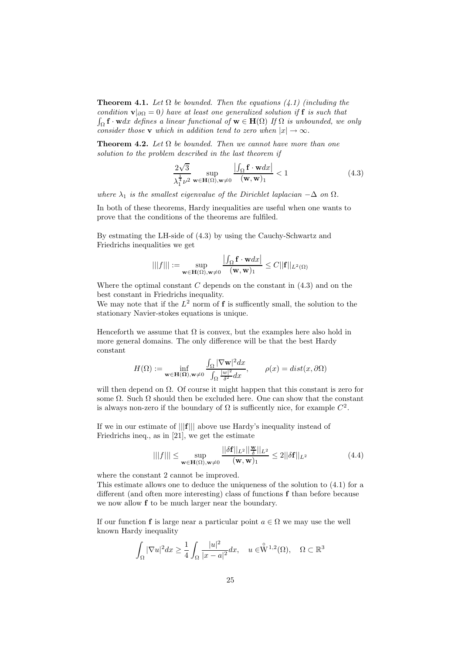**Theorem 4.1.** Let  $\Omega$  be bounded. Then the equations (4.1) (including the condition  $\mathbf{v}|_{\partial\Omega} = 0$ ) have at least one generalized solution if f is such that  $\int_{\Omega} \mathbf{f} \cdot \mathbf{w} dx$  defines a linear functional of  $\mathbf{w} \in \mathbf{H}(\Omega)$  If  $\Omega$  is unbounded, we only consider those v which in addition tend to zero when  $|x| \to \infty$ .

**Theorem 4.2.** Let  $\Omega$  be bounded. Then we cannot have more than one solution to the problem described in the last theorem if

$$
\frac{2\sqrt{3}}{\lambda_1^{\frac{1}{4}}\nu^2} \sup_{\mathbf{w}\in\mathbf{H}(\Omega), \mathbf{w}\neq 0} \frac{\left|\int_{\Omega} \mathbf{f} \cdot \mathbf{w} dx\right|}{\left(\mathbf{w}, \mathbf{w}\right)_1} < 1 \tag{4.3}
$$

where  $\lambda_1$  is the smallest eigenvalue of the Dirichlet laplacian  $-\Delta$  on  $\Omega$ .

In both of these theorems, Hardy inequalities are useful when one wants to prove that the conditions of the theorems are fulfiled.

By estmating the LH-side of (4.3) by using the Cauchy-Schwartz and Friedrichs inequalities we get

$$
|||f||| := \sup_{\mathbf{w}\in \mathbf{H}(\Omega), \mathbf{w}\neq 0} \frac{\left|\int_{\Omega} \mathbf{f} \cdot \mathbf{w} dx\right|}{(\mathbf{w}, \mathbf{w})_1} \le C ||\mathbf{f}||_{L^2(\Omega)}
$$

Where the optimal constant  $C$  depends on the constant in  $(4.3)$  and on the best constant in Friedrichs inequality.

We may note that if the  $L^2$  norm of **f** is sufficently small, the solution to the stationary Navier-stokes equations is unique.

Henceforth we assume that  $\Omega$  is convex, but the examples here also hold in more general domains. The only difference will be that the best Hardy constant

$$
H(\Omega) := \inf_{\mathbf{w} \in \mathbf{H}(\Omega), \mathbf{w} \neq 0} \frac{\int_{\Omega} |\nabla \mathbf{w}|^2 dx}{\int_{\Omega} \frac{|w|^2}{\delta^2} dx}, \qquad \rho(x) = dist(x, \partial \Omega)
$$

will then depend on  $\Omega$ . Of course it might happen that this constant is zero for some  $\Omega$ . Such  $\Omega$  should then be excluded here. One can show that the constant is always non-zero if the boundary of  $\Omega$  is sufficently nice, for example  $C^2$ .

If we in our estimate of |||f||| above use Hardy's inequality instead of Friedrichs ineq., as in [21], we get the estimate

$$
|||f||| \le \sup_{\mathbf{w}\in\mathbf{H}(\Omega), \mathbf{w}\neq 0} \frac{||\delta \mathbf{f}||_{L^2}||\frac{\mathbf{w}}{\delta}||_{L^2}}{(\mathbf{w}, \mathbf{w})_1} \le 2||\delta \mathbf{f}||_{L^2}
$$
(4.4)

where the constant 2 cannot be improved.

This estimate allows one to deduce the uniqueness of the solution to (4.1) for a different (and often more interesting) class of functions f than before because we now allow f to be much larger near the boundary.

If our function f is large near a particular point  $a \in \Omega$  we may use the well known Hardy inequality

$$
\int_{\Omega} |\nabla u|^2 dx \ge \frac{1}{4} \int_{\Omega} \frac{|u|^2}{|x-a|^2} dx, \quad u \in \stackrel{\circ}{W}^{1,2}(\Omega), \quad \Omega \subset \mathbb{R}^3
$$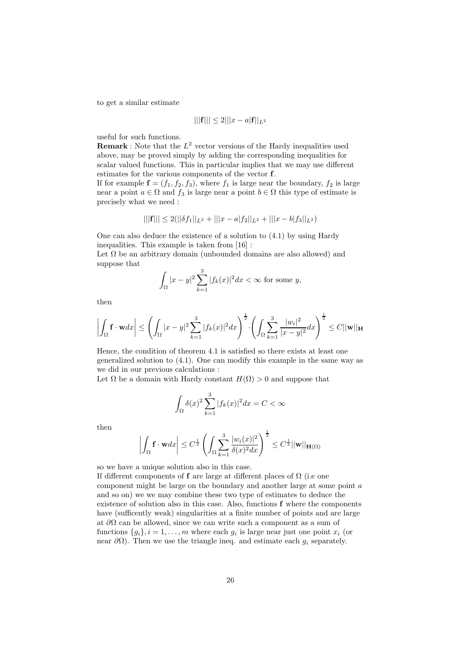to get a similar estimate

$$
|||\mathbf{f}||| \le 2|||x - a|\mathbf{f}||_{L^2}
$$

useful for such functions.

**Remark**: Note that the  $L^2$  vector versions of the Hardy inequalities used above, may be proved simply by adding the corresponding inequalities for scalar valued functions. This in particular implies that we may use different estimates for the various components of the vector f.

If for example  $f = (f_1, f_2, f_3)$ , where  $f_1$  is large near the boundary,  $f_2$  is large near a point  $a \in \Omega$  and  $f_3$  is large near a point  $b \in \Omega$  this type of estimate is precisely what we need :

$$
|||f||| \le 2(||\delta f_1||_{L^2} + |||x - a|f_2||_{L^2} + |||x - b|f_3||_{L^2})
$$

One can also deduce the existence of a solution to (4.1) by using Hardy inequalities. This example is taken from [16] :

Let  $\Omega$  be an arbitrary domain (unbounded domains are also allowed) and suppose that

$$
\int_{\Omega} |x - y|^2 \sum_{k=1}^3 |f_k(x)|^2 dx < \infty \text{ for some } y,
$$

then

$$
\left| \int_{\Omega} \mathbf{f} \cdot \mathbf{w} dx \right| \leq \left( \int_{\Omega} |x - y|^2 \sum_{k=1}^3 |f_k(x)|^2 dx \right)^{\frac{1}{2}} \cdot \left( \int_{\Omega} \sum_{k=1}^3 \frac{|w_i|^2}{|x - y|^2} dx \right)^{\frac{1}{2}} \leq C ||\mathbf{w}||_{\mathbf{H}}
$$

Hence, the condition of theorem 4.1 is satisfied so there exists at least one generalized solution to (4.1). One can modify this example in the same way as we did in our previous calculations :

Let  $\Omega$  be a domain with Hardy constant  $H(\Omega) > 0$  and suppose that

$$
\int_{\Omega} \delta(x)^2 \sum_{k=1}^{3} |f_k(x)|^2 dx = C < \infty
$$

then

$$
\left| \int_{\Omega} \mathbf{f} \cdot \mathbf{w} dx \right| \leq C^{\frac{1}{2}} \left( \int_{\Omega} \sum_{k=1}^{3} \frac{|w_i(x)|^2}{\delta(x)^2 dx} \right)^{\frac{1}{2}} \leq C^{\frac{1}{2}} ||\mathbf{w}||_{\mathbf{H}(\Omega)}
$$

so we have a unique solution also in this case.

If different components of f are large at different places of  $\Omega$  (i.e one component might be large on the boundary and another large at some point a and so on) we we may combine these two type of estimates to deduce the existence of solution also in this case. Also, functions f where the components have (sufficently weak) singularities at a finite number of points and are large at  $\partial\Omega$  can be allowed, since we can write such a component as a sum of functions  $\{g_i\}$ ,  $i = 1, \ldots, m$  where each  $g_i$  is large near just one point  $x_i$  (or near  $\partial\Omega$ ). Then we use the triangle ineq. and estimate each  $g_i$  separately.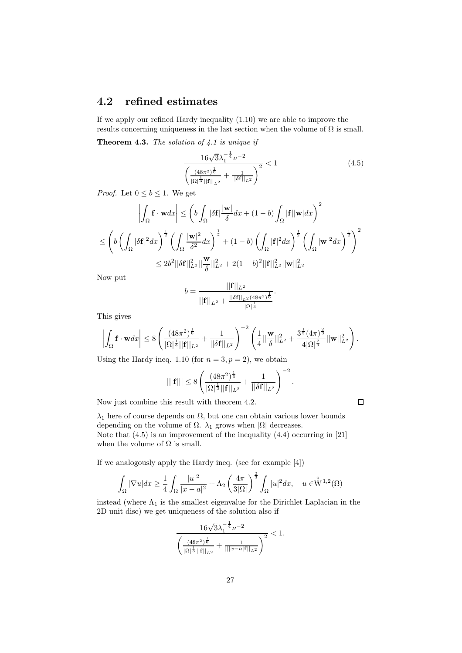#### 4.2 refined estimates

If we apply our refined Hardy inequality (1.10) we are able to improve the results concerning uniqueness in the last section when the volume of  $\Omega$  is small.

**Theorem 4.3.** The solution of  $4.1$  is unique if

$$
\frac{16\sqrt{3}\lambda_1^{-\frac{1}{4}}\nu^{-2}}{\left(\frac{(48\pi^2)^{\frac{1}{6}}}{|\Omega|^{\frac{1}{3}}||\mathbf{f}||_{L^2}} + \frac{1}{||\delta\mathbf{f}||_{L^2}}\right)^2} < 1\tag{4.5}
$$

.

 $\Box$ 

*Proof.* Let  $0 \leq b \leq 1$ . We get

$$
\left| \int_{\Omega} \mathbf{f} \cdot \mathbf{w} dx \right| \leq \left( b \int_{\Omega} |\delta \mathbf{f}| \frac{|\mathbf{w}|}{\delta} dx + (1 - b) \int_{\Omega} |\mathbf{f}| |\mathbf{w}| dx \right)^{2}
$$
  

$$
\leq \left( b \left( \int_{\Omega} |\delta \mathbf{f}|^{2} dx \right)^{\frac{1}{2}} \left( \int_{\Omega} \frac{|\mathbf{w}|^{2}}{\delta^{2}} dx \right)^{\frac{1}{2}} + (1 - b) \left( \int_{\Omega} |\mathbf{f}|^{2} dx \right)^{\frac{1}{2}} \left( \int_{\Omega} |\mathbf{w}|^{2} dx \right)^{\frac{1}{2}} \right)^{2}
$$
  

$$
\leq 2b^{2} ||\delta \mathbf{f}||_{L^{2}}^{2} || \frac{\mathbf{w}}{\delta} ||_{L^{2}}^{2} + 2(1 - b)^{2} ||\mathbf{f}||_{L^{2}}^{2} ||\mathbf{w}||_{L^{2}}^{2}
$$

Now put

$$
b = \frac{||\mathbf{f}||_{L^2}}{||\mathbf{f}||_{L^2} + \frac{||\delta \mathbf{f}||_{L^2} (48\pi^2)^{\frac{1}{6}}}{|\Omega|^{\frac{1}{3}}}}.
$$

This gives

$$
\left| \int_{\Omega} \mathbf{f} \cdot \mathbf{w} dx \right| \leq 8 \left( \frac{(48\pi^2)^{\frac{1}{6}}}{|\Omega|^{\frac{1}{3}} ||\mathbf{f}||_{L^2}} + \frac{1}{||\delta \mathbf{f}||_{L^2}} \right)^{-2} \left( \frac{1}{4} ||\frac{\mathbf{w}}{\delta}||_{L^2}^2 + \frac{3^{\frac{1}{3}} (4\pi)^{\frac{2}{3}}}{4 |\Omega|^{\frac{2}{3}}} ||\mathbf{w}||_{L^2}^2 \right).
$$

Using the Hardy ineq. 1.10 (for  $n = 3, p = 2$ ), we obtain

$$
|||\mathbf{f}||| \le 8 \left( \frac{(48\pi^2)^{\frac{1}{6}}}{|\Omega|^{\frac{1}{3}}||\mathbf{f}||_{L^2}} + \frac{1}{||\delta \mathbf{f}||_{L^2}} \right)^{-2}
$$

Now just combine this result with theorem 4.2.

 $\overline{a}$ 

 $\lambda_1$  here of course depends on  $\Omega$ , but one can obtain various lower bounds depending on the volume of  $\Omega$ .  $\lambda_1$  grows when  $|\Omega|$  decreases. Note that (4.5) is an improvement of the inequality (4.4) occurring in [21] when the volume of  $\Omega$  is small.

If we analogously apply the Hardy ineq. (see for example [4])

$$
\int_{\Omega} |\nabla u| dx \ge \frac{1}{4} \int_{\Omega} \frac{|u|^2}{|x - a|^2} + \Lambda_2 \left(\frac{4\pi}{3|\Omega|}\right)^{\frac{2}{3}} \int_{\Omega} |u|^2 dx, \quad u \in \overset{\circ}{\mathrm{W}}^{1,2}(\Omega)
$$

instead (where  $\Lambda_1$  is the smallest eigenvalue for the Dirichlet Laplacian in the 2D unit disc) we get uniqueness of the solution also if

$$
\frac{16\sqrt{3}\lambda_1^{-\frac{1}{4}}\nu^{-2}}{\left(\frac{(48\pi^2)^{\frac{1}{6}}}{|\Omega|^{\frac{1}{3}}||\mathbf{f}||_{L^2}} + \frac{1}{|||x-a|\mathbf{f}||_{L^2}}\right)^2} < 1.
$$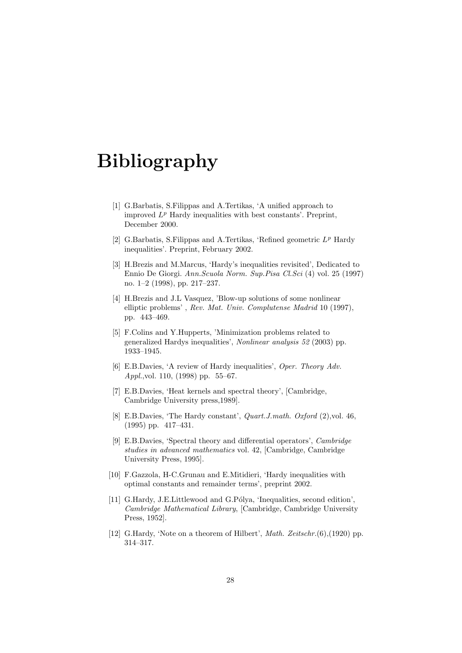## Bibliography

- [1] G.Barbatis, S.Filippas and A.Tertikas, 'A unified approach to improved  $L^p$  Hardy inequalities with best constants'. Preprint, December 2000.
- [2] G.Barbatis, S.Filippas and A.Tertikas, 'Refined geometric  $L^p$  Hardy inequalities'. Preprint, February 2002.
- [3] H.Brezis and M.Marcus, 'Hardy's inequalities revisited', Dedicated to Ennio De Giorgi. Ann.Scuola Norm. Sup.Pisa Cl.Sci (4) vol. 25 (1997) no. 1–2 (1998), pp. 217–237.
- [4] H.Brezis and J.L Vasquez, 'Blow-up solutions of some nonlinear elliptic problems' , Rev. Mat. Univ. Complutense Madrid 10 (1997), pp. 443–469.
- [5] F.Colins and Y.Hupperts, 'Minimization problems related to generalized Hardys inequalities', Nonlinear analysis 52 (2003) pp. 1933–1945.
- [6] E.B.Davies, 'A review of Hardy inequalities', *Oper. Theory Adv.* Appl.,vol. 110, (1998) pp. 55–67.
- [7] E.B.Davies, 'Heat kernels and spectral theory', [Cambridge, Cambridge University press,1989].
- [8] E.B.Davies, 'The Hardy constant', Quart.J.math. Oxford (2),vol. 46, (1995) pp. 417–431.
- [9] E.B.Davies, 'Spectral theory and differential operators', Cambridge studies in advanced mathematics vol. 42, [Cambridge, Cambridge University Press, 1995].
- [10] F.Gazzola, H-C.Grunau and E.Mitidieri, 'Hardy inequalities with optimal constants and remainder terms', preprint 2002.
- [11] G.Hardy, J.E.Littlewood and G.Pólya, 'Inequalities, second edition', Cambridge Mathematical Library, [Cambridge, Cambridge University Press, 1952].
- [12] G.Hardy, 'Note on a theorem of Hilbert', *Math. Zeitschr.*(6),(1920) pp. 314–317.